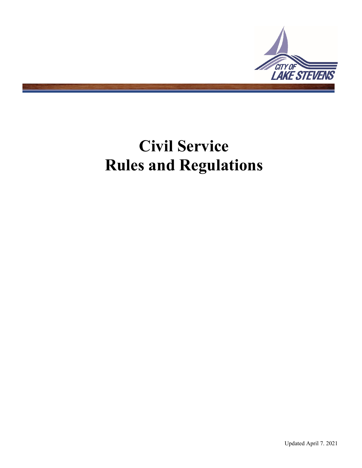

# **Civil Service Rules and Regulations**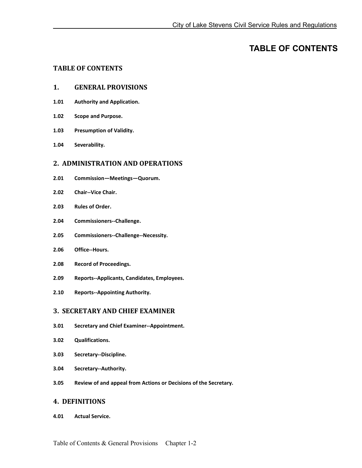# **TABLE OF CONTENTS**

#### <span id="page-1-0"></span>**[TABLE OF CONTENTS](#page-1-0)**

#### **1. [GENERAL PROVISIONS](#page-9-0)**

- **1.01 [Authority and Application.](#page-9-1)**
- **1.02 [Scope and Purpose.](#page-9-2)**
- **1.03 [Presumption of Validity.](#page-9-3)**
- **1.04 [Severability.](#page-9-4)**

#### **[2. ADMINISTRATION AND OPERATIONS](#page-10-0)**

- **2.01 [Commission—Meetings—Quorum.](#page-10-1)**
- **2.02 [Chair--Vice Chair.](#page-10-2)**
- **2.03 [Rules of Order.](#page-10-3)**
- **2.04 [Commissioners--Challenge.](#page-10-4)**
- **2.05 [Commissioners--Challenge--Necessity.](#page-10-5)**
- **2.06 [Office--Hours.](#page-11-0)**
- **2.08 [Record of Proceedings.](#page-11-1)**
- **2.09 [Reports--Applicants, Candidates, Employees.](#page-11-2)**
- **2.10 [Reports--Appointing Authority.](#page-11-3)**

#### **[3. SECRETARY AND CHIEF EXAMINER](#page-12-0)**

- **3.01 [Secretary and Chief Examiner--Appointment.](#page-12-1)**
- **3.02 [Qualifications.](#page-12-2)**
- **3.03 [Secretary--Discipline.](#page-12-3)**
- **3.04 [Secretary--Authority.](#page-12-4)**
- **3.05 [Review of and appeal from Actions or Decisions of the Secretary.](#page-13-0)**

#### **[4. DEFINITIONS](#page-14-0)**

**4.01 [Actual Service.](#page-14-1)**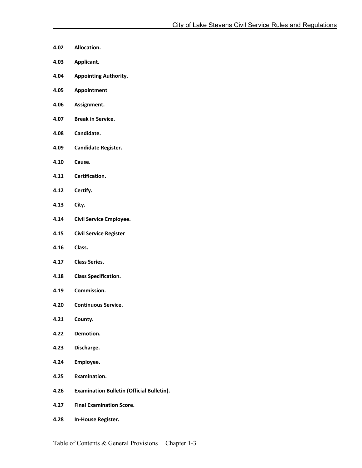- **4.02 [Allocation.](#page-14-2)**
- **4.03 [Applicant.](#page-14-3)**
- **4.04 [Appointing Authority.](#page-14-4)**
- **4.05 [Appointment](#page-14-5)**
- **4.06 [Assignment.](#page-14-6)**
- **4.07 [Break in Service.](#page-15-0)**
- **4.08 [Candidate.](#page-15-1)**
- **4.09 [Candidate Register.](#page-15-2)**
- **4.10 [Cause.](#page-15-3)**
- **4.11 [Certification.](#page-15-4)**
- **4.12 [Certify.](#page-15-5)**
- **4.13 [City.](#page-15-6)**
- **4.14 [Civil Service Employee.](#page-15-7)**
- **4.15 [Civil Service Register](#page-15-8)**
- **4.16 [Class.](#page-16-0)**
- **4.17 [Class Series.](#page-16-1)**
- **4.18 [Class Specification.](#page-16-2)**
- **4.19 [Commission.](#page-16-3)**
- **4.20 [Continuous Service.](#page-16-4)**
- **4.21 [County.](#page-16-5)**
- **4.22 [Demotion.](#page-16-6)**
- **4.23 [Discharge.](#page-16-7)**
- **4.24 [Employee.](#page-16-8)**
- **4.25 [Examination.](#page-17-0)**
- **4.26 [Examination Bulletin \(Official Bulletin\).](#page-17-1)**
- **4.27 [Final Examination Score.](#page-17-2)**
- **4.28 [In-House Register.](#page-17-3)**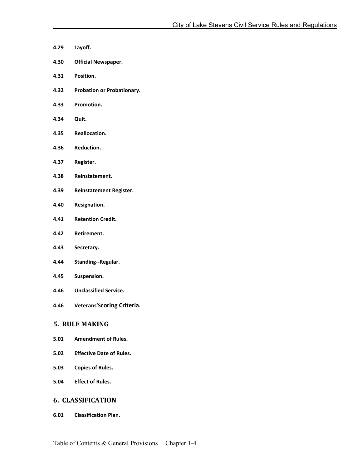- **4.29 [Layoff.](#page-17-4)**
- **4.30 [Official Newspaper.](#page-17-5)**
- **4.31 [Position.](#page-17-6)**
- **4.32 [Probation or Probationary.](#page-18-0)**
- **4.33 [Promotion.](#page-18-1)**
- **4.34 [Quit.](#page-18-2)**
- **4.35 [Reallocation.](#page-18-3)**
- **4.36 [Reduction.](#page-18-4)**
- **4.37 [Register.](#page-18-5)**
- **4.38 [Reinstatement.](#page-18-6)**
- **4.39 [Reinstatement Register.](#page-19-0)**
- **4.40 [Resignation.](#page-19-1)**
- **4.41 [Retention Credit.](#page-19-2)**
- **4.42 [Retirement.](#page-19-3)**
- **4.43 [Secretary.](#page-19-4)**
- **4.44 [Standing--Regular.](#page-19-5)**
- **4.45 [Suspension.](#page-19-6)**
- **4.46 [Unclassified Service.](#page-19-7)**
- **4.46 [Veterans'Scoring Criteria.](#page-19-8)**

#### **[5. RULE MAKING](#page-20-0)**

- **5.01 [Amendment of Rules.](#page-20-1)**
- **5.02 [Effective Date of Rules.](#page-20-2)**
- **5.03 [Copies of Rules.](#page-20-3)**
- **5.04 [Effect of Rules.](#page-20-4)**

#### **[6. CLASSIFICATION](#page-21-0)**

**6.01 [Classification Plan.](#page-21-1)**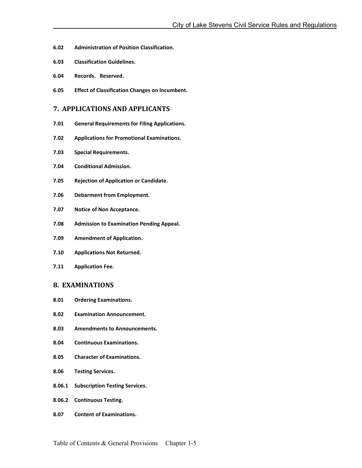- **6.02 [Administration of Position Classification.](#page-21-2)**
- **6.03 [Classification Guidelines.](#page-21-3)**
- **6.04 [Records. Reserved.](#page-22-0)**
- **6.05 [Effect of Classification Changes on Incumbent.](#page-22-1)**

#### **[7. APPLICATIONS AND APPLICANTS](#page-23-0)**

- **7.01 [General Requirements for Filing Applications.](#page-23-1)**
- **7.02 [Applications for Promotional Examinations.](#page-23-2)**
- **7.03 [Special Requirements.](#page-23-3)**
- **7.04 [Conditional Admission.](#page-24-0)**
- **7.05 [Rejection of Application or Candidate.](#page-24-1)**
- **7.06 [Debarment from Employment.](#page-24-2)**
- **7.07 [Notice of Non Acceptance.](#page-24-3)**
- **7.08 [Admission to Examination Pending Appeal.](#page-25-0)**
- **7.09 [Amendment of Application.](#page-25-1)**
- **7.10 [Applications Not Returned.](#page-25-2)**
- **7.11 [Application Fee.](#page-25-3)**

#### **[8. EXAMINATIONS](#page-26-0)**

- **8.01 [Ordering Examinations.](#page-26-1)**
- **8.02 [Examination Announcement.](#page-26-2)**
- **8.03 [Amendments to Announcements.](#page-26-3)**
- **8.04 [Continuous Examinations.](#page-26-4)**
- **8.05 [Character of Examinations.](#page-26-5)**
- **8.06 [Testing Services.](#page-26-6)**
- **[8.06.1 Subscription Testing Services.](#page-27-0)**
- **[8.06.2 Continuous Testing.](#page-27-1)**
- **8.07 [Content of Examinations.](#page-28-0)**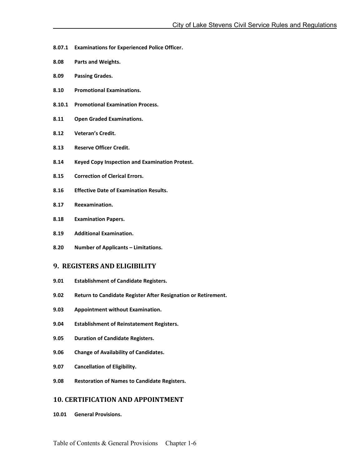- **[8.07.1 Examinations for Experienced Police Officer.](#page-28-1)**
- **8.08 [Parts and Weights.](#page-29-0)**
- **8.09 [Passing Grades.](#page-29-1)**
- **8.10 [Promotional Examinations.](#page-30-0)**
- **[8.10.1 Promotional Examination](#page-30-1) Process.**
- **8.11 [Open Graded Examinations.](#page-30-2)**
- **8.12 [Veteran's Credit.](#page-30-3)**
- **8.13 [Reserve Officer Credit.](#page-30-4)**
- **8.14 [Keyed Copy Inspection and Examination Protest.](#page-30-5)**
- **8.15 [Correction of Clerical Errors.](#page-31-0)**
- **8.16 [Effective Date of Examination Results.](#page-31-1)**
- **8.17 [Reexamination.](#page-31-2)**
- **8.18 [Examination Papers.](#page-31-3)**
- **8.19 [Additional Examination.](#page-31-4)**
- **8.20 [Number of Applicants –](#page-32-0) Limitations.**

#### **[9. REGISTERS AND ELIGIBILITY](#page-33-0)**

- **9.01 [Establishment of Candidate Registers.](#page-33-1)**
- **9.02 [Return to Candidate Register After Resignation or Retirement.](#page-33-2)**
- **9.03 [Appointment without Examination.](#page-34-0)**
- **9.04 [Establishment of Reinstatement Registers.](#page-34-1)**
- **9.05 [Duration of Candidate Registers.](#page-34-2)**
- **9.06 [Change of Availability of Candidates.](#page-35-0)**
- **9.07 [Cancellation of Eligibility.](#page-35-1)**
- **9.08 [Restoration of Names to Candidate Registers.](#page-35-2)**

#### **[10. CERTIFICATION AND APPOINTMENT](#page-36-0)**

**10.01 [General Provisions.](#page-36-1)**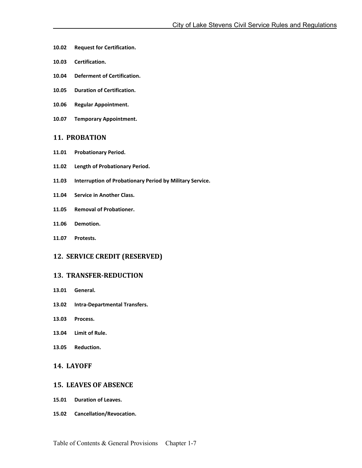- **10.02 [Request for Certification.](#page-36-2)**
- **10.03 [Certification.](#page-36-3)**
- **10.04 [Deferment of Certification.](#page-37-0)**
- **10.05 [Duration of Certification.](#page-37-1)**
- **10.06 [Regular Appointment.](#page-37-2)**
- **10.07 [Temporary Appointment.](#page-37-3)**

#### **[11. PROBATION](#page-39-0)**

- **11.01 [Probationary Period.](#page-39-1)**
- **11.02 [Length of Probationary Period.](#page-39-2)**
- **11.03 [Interruption of Probationary Period by Military Service.](#page-39-3)**
- **11.04 [Service in Another Class.](#page-39-4)**
- **11.05 [Removal of Probationer.](#page-39-5)**
- **11.06 [Demotion.](#page-40-0)**
- **[11.07 Protests.](#page-40-1)**

#### **[12. SERVICE CREDIT \(RESERVED\)](#page-41-0)**

#### **[13. TRANSFER-REDUCTION](#page-42-0)**

- **13.01 [General.](#page-42-1)**
- **[13.02 Intra-Departmental Transfers.](#page-42-2)**
- **[13.03 Process.](#page-42-3)**
- **[13.04 Limit of Rule.](#page-42-4)**
- **[13.05 Reduction.](#page-43-0)**

#### **[14. LAYOFF](#page-45-0)**

#### **[15. LEAVES OF ABSENCE](#page-46-0)**

- **15.01 [Duration of Leaves.](#page-46-1)**
- **15.02 [Cancellation/Revocation.](#page-46-2)**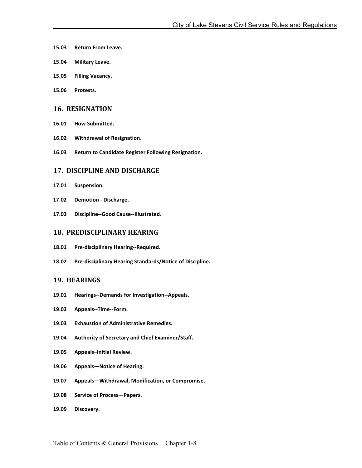- **15.03 [Return From Leave.](#page-46-3)**
- **15.04 [Military Leave.](#page-46-4)**
- **15.05 [Filling Vacancy.](#page-46-5)**
- **15.06 [Protests.](#page-46-6)**

#### **[16. RESIGNATION](#page-47-0)**

- **16.01 [How Submitted.](#page-47-1)**
- **16.02 [Withdrawal of Resignation.](#page-47-2)**
- **16.03 [Return to Candidate Register Following Resignation.](#page-47-3)**

#### **[17. DISCIPLINE AND DISCHARGE](#page-48-0)**

- **17.01 [Suspension.](#page-48-1)**
- **17.02 [Demotion -](#page-48-2) Discharge.**
- **17.03 [Discipline--Good Cause--Illustrated.](#page-48-3)**

#### **[18. PREDISCIPLINARY HEARING](#page-50-0)**

- **18.01 [Pre-disciplinary Hearing--Required.](#page-50-1)**
- **18.02 [Pre-disciplinary Hearing Standards/Notice of Discipline.](#page-50-2)**

#### **[19. HEARINGS](#page-51-0)**

- **19.01 [Hearings--Demands for Investigation--Appeals.](#page-51-1)**
- **19.02 [Appeals--Time--Form.](#page-51-2)**
- **19.03 [Exhaustion of Administrative Remedies.](#page-51-3)**
- **19.04 [Authority of Secretary and Chief Examiner/Staff.](#page-51-4)**
- **19.05 [Appeals–Initial Review.](#page-52-0)**
- **19.06 [Appeals—Notice of Hearing.](#page-52-1)**
- **19.07 [Appeals—Withdrawal, Modification, or Compromise.](#page-52-2)**
- **19.08 [Service of Process—Papers.](#page-52-3)**
- **19.09 [Discovery.](#page-53-0)**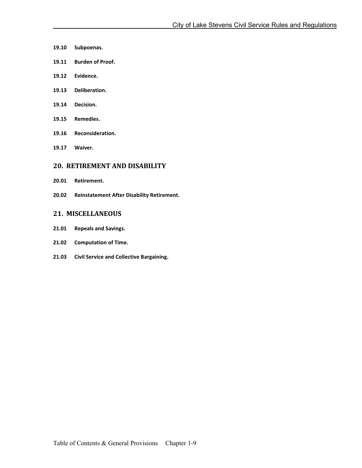- **19.10 [Subpoenas.](#page-53-1)**
- **19.11 [Burden of Proof.](#page-53-2)**
- **19.12 [Evidence.](#page-53-3)**
- **19.13 [Deliberation.](#page-54-0)**
- **19.14 [Decision.](#page-54-1)**
- **19.15 [Remedies.](#page-54-2)**
- **19.16 [Reconsideration.](#page-54-3)**
- **19.17 [Waiver.](#page-54-4)**

#### **[20. RETIREMENT AND DISABILITY](#page-56-0)**

- **20.01 [Retirement.](#page-56-1)**
- **20.02 [Reinstatement After Disability Retirement.](#page-56-2)**

#### **[21. MISCELLANEOUS](#page-57-0)**

- **21.01 [Repeals and Savings.](#page-57-1)**
- **21.02 [Computation of Time.](#page-57-2)**
- **[21.03 Civil Service and Collective Bargaining.](#page-57-3)**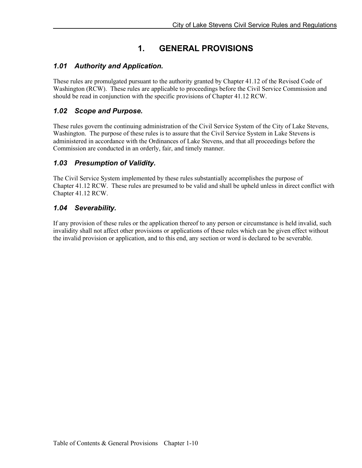# **1. GENERAL PROVISIONS**

# <span id="page-9-1"></span><span id="page-9-0"></span>*1.01 Authority and Application.*

These rules are promulgated pursuant to the authority granted by Chapter 41.12 of the Revised Code of Washington (RCW). These rules are applicable to proceedings before the Civil Service Commission and should be read in conjunction with the specific provisions of Chapter 41.12 RCW.

# <span id="page-9-2"></span>*1.02 Scope and Purpose.*

These rules govern the continuing administration of the Civil Service System of the City of Lake Stevens, Washington. The purpose of these rules is to assure that the Civil Service System in Lake Stevens is administered in accordance with the Ordinances of Lake Stevens, and that all proceedings before the Commission are conducted in an orderly, fair, and timely manner.

# <span id="page-9-3"></span>*1.03 Presumption of Validity.*

The Civil Service System implemented by these rules substantially accomplishes the purpose of Chapter 41.12 RCW. These rules are presumed to be valid and shall be upheld unless in direct conflict with Chapter 41.12 RCW.

# <span id="page-9-4"></span>*1.04 Severability.*

If any provision of these rules or the application thereof to any person or circumstance is held invalid, such invalidity shall not affect other provisions or applications of these rules which can be given effect without the invalid provision or application, and to this end, any section or word is declared to be severable.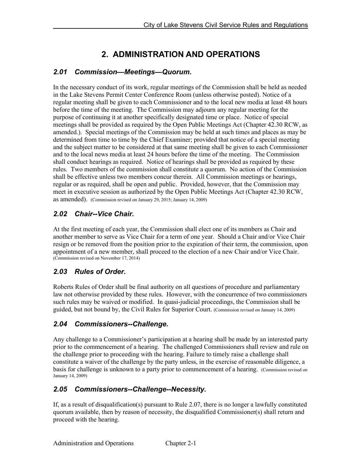# **2. ADMINISTRATION AND OPERATIONS**

# <span id="page-10-1"></span><span id="page-10-0"></span>*2.01 Commission—Meetings—Quorum.*

In the necessary conduct of its work, regular meetings of the Commission shall be held as needed in the Lake Stevens Permit Center Conference Room (unless otherwise posted). Notice of a regular meeting shall be given to each Commissioner and to the local new media at least 48 hours before the time of the meeting. The Commission may adjourn any regular meeting for the purpose of continuing it at another specifically designated time or place. Notice of special meetings shall be provided as required by the Open Public Meetings Act (Chapter 42.30 RCW, as amended.). Special meetings of the Commission may be held at such times and places as may be determined from time to time by the Chief Examiner; provided that notice of a special meeting and the subject matter to be considered at that same meeting shall be given to each Commissioner and to the local news media at least 24 hours before the time of the meeting. The Commission shall conduct hearings as required. Notice of hearings shall be provided as required by these rules. Two members of the commission shall constitute a quorum. No action of the Commission shall be effective unless two members concur therein. All Commission meetings or hearings, regular or as required, shall be open and public. Provided, however, that the Commission may meet in executive session as authorized by the Open Public Meetings Act (Chapter 42.30 RCW, as amended). (Commission revised on January 29, 2015; January 14, 2009)

# <span id="page-10-2"></span>*2.02 Chair--Vice Chair.*

At the first meeting of each year, the Commission shall elect one of its members as Chair and another member to serve as Vice Chair for a term of one year. Should a Chair and/or Vice Chair resign or be removed from the position prior to the expiration of their term, the commission, upon appointment of a new member, shall proceed to the election of a new Chair and/or Vice Chair. (Commission revised on November 17, 2014)

# <span id="page-10-3"></span>*2.03 Rules of Order.*

Roberts Rules of Order shall be final authority on all questions of procedure and parliamentary law not otherwise provided by these rules. However, with the concurrence of two commissioners such rules may be waived or modified. In quasi-judicial proceedings, the Commission shall be guided, but not bound by, the Civil Rules for Superior Court. (Commission revised on January 14, 2009)

#### <span id="page-10-4"></span>*2.04 Commissioners--Challenge.*

Any challenge to a Commissioner's participation at a hearing shall be made by an interested party prior to the commencement of a hearing. The challenged Commissioners shall review and rule on the challenge prior to proceeding with the hearing. Failure to timely raise a challenge shall constitute a waiver of the challenge by the party unless, in the exercise of reasonable diligence, a basis for challenge is unknown to a party prior to commencement of a hearing. (Commission revised on January 14, 2009)

# <span id="page-10-5"></span>*2.05 Commissioners--Challenge--Necessity.*

If, as a result of disqualification(s) pursuant to Rule 2.07, there is no longer a lawfully constituted quorum available, then by reason of necessity, the disqualified Commissioner(s) shall return and proceed with the hearing.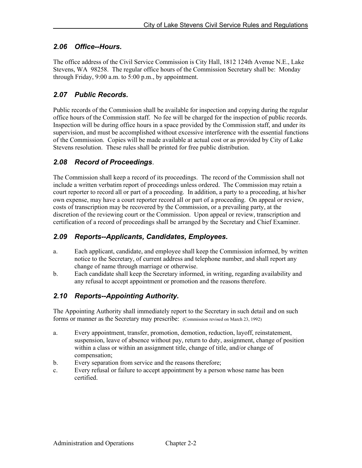# <span id="page-11-0"></span>*2.06 Office--Hours.*

The office address of the Civil Service Commission is City Hall, 1812 124th Avenue N.E., Lake Stevens, WA 98258. The regular office hours of the Commission Secretary shall be: Monday through Friday, 9:00 a.m. to 5:00 p.m., by appointment.

# *2.07 Public Records.*

Public records of the Commission shall be available for inspection and copying during the regular office hours of the Commission staff. No fee will be charged for the inspection of public records. Inspection will be during office hours in a space provided by the Commission staff, and under its supervision, and must be accomplished without excessive interference with the essential functions of the Commission. Copies will be made available at actual cost or as provided by City of Lake Stevens resolution. These rules shall be printed for free public distribution.

# <span id="page-11-1"></span>*2.08 Record of Proceedings*.

The Commission shall keep a record of its proceedings. The record of the Commission shall not include a written verbatim report of proceedings unless ordered. The Commission may retain a court reporter to record all or part of a proceeding. In addition, a party to a proceeding, at his/her own expense, may have a court reporter record all or part of a proceeding. On appeal or review, costs of transcription may be recovered by the Commission, or a prevailing party, at the discretion of the reviewing court or the Commission. Upon appeal or review, transcription and certification of a record of proceedings shall be arranged by the Secretary and Chief Examiner.

# <span id="page-11-2"></span>*2.09 Reports--Applicants, Candidates, Employees.*

- a. Each applicant, candidate, and employee shall keep the Commission informed, by written notice to the Secretary, of current address and telephone number, and shall report any change of name through marriage or otherwise.
- b. Each candidate shall keep the Secretary informed, in writing, regarding availability and any refusal to accept appointment or promotion and the reasons therefore.

# <span id="page-11-3"></span>*2.10 Reports--Appointing Authority.*

The Appointing Authority shall immediately report to the Secretary in such detail and on such forms or manner as the Secretary may prescribe: (Commission revised on March 23, 1992)

- a. Every appointment, transfer, promotion, demotion, reduction, layoff, reinstatement, suspension, leave of absence without pay, return to duty, assignment, change of position within a class or within an assignment title, change of title, and/or change of compensation;
- b. Every separation from service and the reasons therefore;
- c. Every refusal or failure to accept appointment by a person whose name has been certified.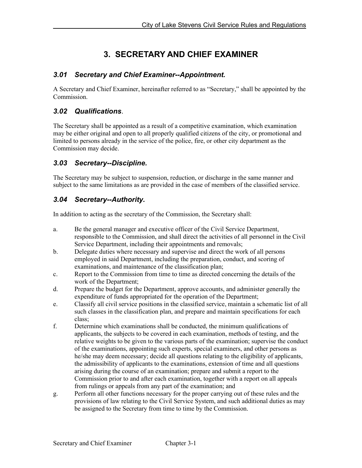# **3. SECRETARY AND CHIEF EXAMINER**

# <span id="page-12-1"></span><span id="page-12-0"></span>*3.01 Secretary and Chief Examiner--Appointment.*

A Secretary and Chief Examiner, hereinafter referred to as "Secretary," shall be appointed by the Commission.

# <span id="page-12-2"></span>*3.02 Qualifications*.

The Secretary shall be appointed as a result of a competitive examination, which examination may be either original and open to all properly qualified citizens of the city, or promotional and limited to persons already in the service of the police, fire, or other city department as the Commission may decide.

# <span id="page-12-3"></span>*3.03 Secretary--Discipline.*

The Secretary may be subject to suspension, reduction, or discharge in the same manner and subject to the same limitations as are provided in the case of members of the classified service.

# <span id="page-12-4"></span>*3.04 Secretary--Authority.*

In addition to acting as the secretary of the Commission, the Secretary shall:

- a. Be the general manager and executive officer of the Civil Service Department, responsible to the Commission, and shall direct the activities of all personnel in the Civil Service Department, including their appointments and removals;
- b. Delegate duties where necessary and supervise and direct the work of all persons employed in said Department, including the preparation, conduct, and scoring of examinations, and maintenance of the classification plan;
- c. Report to the Commission from time to time as directed concerning the details of the work of the Department;
- d. Prepare the budget for the Department, approve accounts, and administer generally the expenditure of funds appropriated for the operation of the Department;
- e. Classify all civil service positions in the classified service, maintain a schematic list of all such classes in the classification plan, and prepare and maintain specifications for each class;
- f. Determine which examinations shall be conducted, the minimum qualifications of applicants, the subjects to be covered in each examination, methods of testing, and the relative weights to be given to the various parts of the examination; supervise the conduct of the examinations, appointing such experts, special examiners, and other persons as he/she may deem necessary; decide all questions relating to the eligibility of applicants, the admissibility of applicants to the examinations, extension of time and all questions arising during the course of an examination; prepare and submit a report to the Commission prior to and after each examination, together with a report on all appeals from rulings or appeals from any part of the examination; and
- g. Perform all other functions necessary for the proper carrying out of these rules and the provisions of law relating to the Civil Service System, and such additional duties as may be assigned to the Secretary from time to time by the Commission.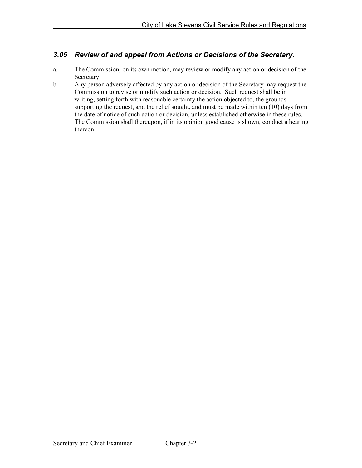# <span id="page-13-0"></span>*3.05 Review of and appeal from Actions or Decisions of the Secretary.*

- a. The Commission, on its own motion, may review or modify any action or decision of the Secretary.
- b. Any person adversely affected by any action or decision of the Secretary may request the Commission to revise or modify such action or decision. Such request shall be in writing, setting forth with reasonable certainty the action objected to, the grounds supporting the request, and the relief sought, and must be made within ten (10) days from the date of notice of such action or decision, unless established otherwise in these rules. The Commission shall thereupon, if in its opinion good cause is shown, conduct a hearing thereon.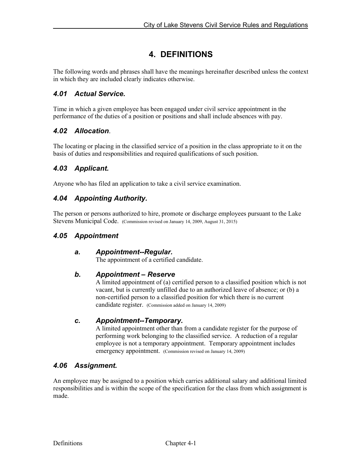# **4. DEFINITIONS**

<span id="page-14-0"></span>The following words and phrases shall have the meanings hereinafter described unless the context in which they are included clearly indicates otherwise.

# <span id="page-14-1"></span>*4.01 Actual Service.*

Time in which a given employee has been engaged under civil service appointment in the performance of the duties of a position or positions and shall include absences with pay.

# <span id="page-14-2"></span>*4.02 Allocation*.

The locating or placing in the classified service of a position in the class appropriate to it on the basis of duties and responsibilities and required qualifications of such position.

# <span id="page-14-3"></span>*4.03 Applicant.*

Anyone who has filed an application to take a civil service examination.

# <span id="page-14-4"></span>*4.04 Appointing Authority.*

The person or persons authorized to hire, promote or discharge employees pursuant to the Lake Stevens Municipal Code. (Commission revised on January 14, 2009, August 31, 2015)

#### <span id="page-14-5"></span>*4.05 Appointment*

#### *a. Appointment--Regular.*

The appointment of a certified candidate.

#### *b. Appointment – Reserve*

A limited appointment of (a) certified person to a classified position which is not vacant, but is currently unfilled due to an authorized leave of absence; or (b) a non-certified person to a classified position for which there is no current candidate register. (Commission added on January 14, 2009)

#### *c. Appointment--Temporary.*

A limited appointment other than from a candidate register for the purpose of performing work belonging to the classified service. A reduction of a regular employee is not a temporary appointment. Temporary appointment includes emergency appointment. (Commission revised on January 14, 2009)

#### <span id="page-14-6"></span>*4.06 Assignment.*

An employee may be assigned to a position which carries additional salary and additional limited responsibilities and is within the scope of the specification for the class from which assignment is made.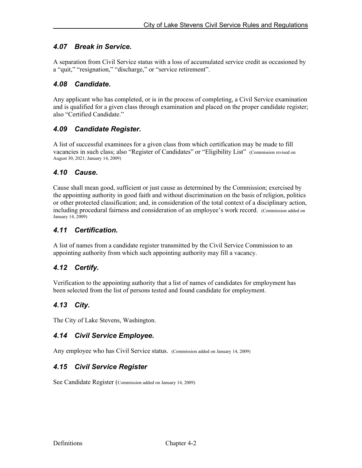#### <span id="page-15-0"></span>*4.07 Break in Service.*

A separation from Civil Service status with a loss of accumulated service credit as occasioned by a "quit," "resignation," "discharge," or "service retirement".

#### <span id="page-15-1"></span>*4.08 Candidate.*

Any applicant who has completed, or is in the process of completing, a Civil Service examination and is qualified for a given class through examination and placed on the proper candidate register; also "Certified Candidate."

#### <span id="page-15-2"></span>*4.09 Candidate Register.*

A list of successful examinees for a given class from which certification may be made to fill vacancies in such class; also "Register of Candidates" or "Eligibility List" (Commission revised on August 30, 2021; January 14, 2009)

#### <span id="page-15-3"></span>*4.10 Cause.*

Cause shall mean good, sufficient or just cause as determined by the Commission; exercised by the appointing authority in good faith and without discrimination on the basis of religion, politics or other protected classification; and, in consideration of the total context of a disciplinary action, including procedural fairness and consideration of an employee's work record. (Commission added on January 14, 2009)

#### <span id="page-15-4"></span>*4.11 Certification.*

A list of names from a candidate register transmitted by the Civil Service Commission to an appointing authority from which such appointing authority may fill a vacancy.

#### <span id="page-15-5"></span>*4.12 Certify.*

Verification to the appointing authority that a list of names of candidates for employment has been selected from the list of persons tested and found candidate for employment.

#### <span id="page-15-6"></span>*4.13 City.*

The City of Lake Stevens, Washington.

#### <span id="page-15-7"></span>*4.14 Civil Service Employee.*

Any employee who has Civil Service status. (Commission added on January 14, 2009)

#### <span id="page-15-8"></span>*4.15 Civil Service Register*

See Candidate Register (Commission added on January 14, 2009)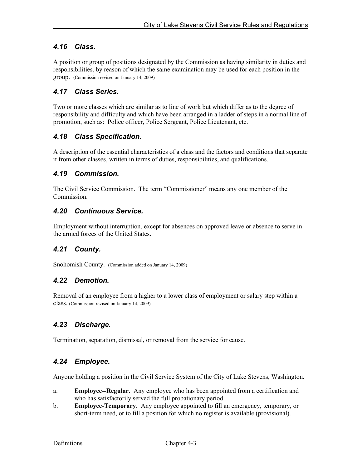# <span id="page-16-0"></span>*4.16 Class.*

A position or group of positions designated by the Commission as having similarity in duties and responsibilities, by reason of which the same examination may be used for each position in the group. (Commission revised on January 14, 2009)

# <span id="page-16-1"></span>*4.17 Class Series.*

Two or more classes which are similar as to line of work but which differ as to the degree of responsibility and difficulty and which have been arranged in a ladder of steps in a normal line of promotion, such as: Police officer, Police Sergeant, Police Lieutenant, etc.

# <span id="page-16-2"></span>*4.18 Class Specification.*

A description of the essential characteristics of a class and the factors and conditions that separate it from other classes, written in terms of duties, responsibilities, and qualifications.

# <span id="page-16-3"></span>*4.19 Commission.*

The Civil Service Commission. The term "Commissioner" means any one member of the Commission.

# <span id="page-16-4"></span>*4.20 Continuous Service.*

Employment without interruption, except for absences on approved leave or absence to serve in the armed forces of the United States.

# <span id="page-16-5"></span>*4.21 County.*

Snohomish County. (Commission added on January 14, 2009)

#### <span id="page-16-6"></span>*4.22 Demotion.*

Removal of an employee from a higher to a lower class of employment or salary step within a class. (Commission revised on January 14, 2009)

# <span id="page-16-7"></span>*4.23 Discharge.*

Termination, separation, dismissal, or removal from the service for cause.

# <span id="page-16-8"></span>*4.24 Employee.*

Anyone holding a position in the Civil Service System of the City of Lake Stevens, Washington.

- a. **Employee--Regular**. Any employee who has been appointed from a certification and who has satisfactorily served the full probationary period.
- b. **Employee-Temporary**. Any employee appointed to fill an emergency, temporary, or short-term need, or to fill a position for which no register is available (provisional).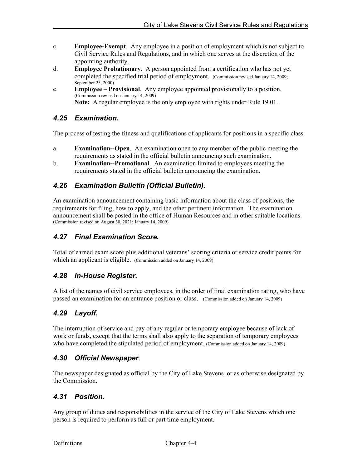- c. **Employee-Exempt**. Any employee in a position of employment which is not subject to Civil Service Rules and Regulations, and in which one serves at the discretion of the appointing authority.
- d. **Employee Probationary**. A person appointed from a certification who has not yet completed the specified trial period of employment. (Commission revised January 14, 2009; September 25, 2000)
- e. **Employee – Provisional**. Any employee appointed provisionally to a position. (Commission revised on January 14, 2009) **Note:** A regular employee is the only employee with rights under Rule 19.01.

# <span id="page-17-0"></span>*4.25 Examination.*

The process of testing the fitness and qualifications of applicants for positions in a specific class.

- a. **Examination--Open**. An examination open to any member of the public meeting the requirements as stated in the official bulletin announcing such examination.
- b. **Examination--Promotional**. An examination limited to employees meeting the requirements stated in the official bulletin announcing the examination.

#### <span id="page-17-1"></span>*4.26 Examination Bulletin (Official Bulletin).*

An examination announcement containing basic information about the class of positions, the requirements for filing, how to apply, and the other pertinent information. The examination announcement shall be posted in the office of Human Resources and in other suitable locations. (Commission revised on August 30, 2021; January 14, 2009)

### <span id="page-17-2"></span>*4.27 Final Examination Score.*

Total of earned exam score plus additional veterans' scoring criteria or service credit points for which an applicant is eligible. (Commission added on January 14, 2009)

#### <span id="page-17-3"></span>*4.28 In-House Register.*

A list of the names of civil service employees, in the order of final examination rating, who have passed an examination for an entrance position or class. (Commission added on January 14, 2009)

#### <span id="page-17-4"></span>*4.29 Layoff.*

The interruption of service and pay of any regular or temporary employee because of lack of work or funds, except that the terms shall also apply to the separation of temporary employees who have completed the stipulated period of employment. (Commission added on January 14, 2009)

#### <span id="page-17-5"></span>*4.30 Official Newspaper*.

The newspaper designated as official by the City of Lake Stevens, or as otherwise designated by the Commission.

#### <span id="page-17-6"></span>*4.31 Position.*

Any group of duties and responsibilities in the service of the City of Lake Stevens which one person is required to perform as full or part time employment.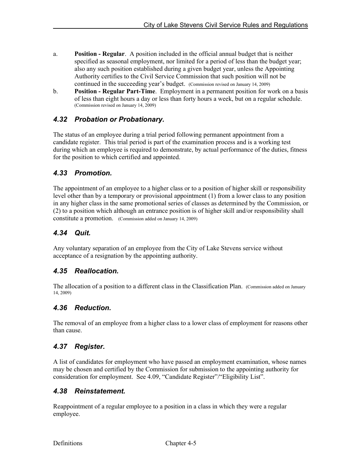- a. **Position - Regular**. A position included in the official annual budget that is neither specified as seasonal employment, nor limited for a period of less than the budget year; also any such position established during a given budget year, unless the Appointing Authority certifies to the Civil Service Commission that such position will not be continued in the succeeding year's budget. (Commission revised on January 14, 2009)
- b. **Position - Regular Part-Time**. Employment in a permanent position for work on a basis of less than eight hours a day or less than forty hours a week, but on a regular schedule. (Commission revised on January 14, 2009)

# <span id="page-18-0"></span>*4.32 Probation or Probationary.*

The status of an employee during a trial period following permanent appointment from a candidate register. This trial period is part of the examination process and is a working test during which an employee is required to demonstrate, by actual performance of the duties, fitness for the position to which certified and appointed.

# <span id="page-18-1"></span>*4.33 Promotion.*

The appointment of an employee to a higher class or to a position of higher skill or responsibility level other than by a temporary or provisional appointment (1) from a lower class to any position in any higher class in the same promotional series of classes as determined by the Commission, or (2) to a position which although an entrance position is of higher skill and/or responsibility shall constitute a promotion. (Commission added on January 14, 2009)

# <span id="page-18-2"></span>*4.34 Quit.*

Any voluntary separation of an employee from the City of Lake Stevens service without acceptance of a resignation by the appointing authority.

#### <span id="page-18-3"></span>*4.35 Reallocation.*

The allocation of a position to a different class in the Classification Plan. (Commission added on January 14, 2009)

#### <span id="page-18-4"></span>*4.36 Reduction.*

The removal of an employee from a higher class to a lower class of employment for reasons other than cause.

#### <span id="page-18-5"></span>*4.37 Register.*

A list of candidates for employment who have passed an employment examination, whose names may be chosen and certified by the Commission for submission to the appointing authority for consideration for employment. See 4.09, "Candidate Register"/"Eligibility List".

#### <span id="page-18-6"></span>*4.38 Reinstatement.*

Reappointment of a regular employee to a position in a class in which they were a regular employee.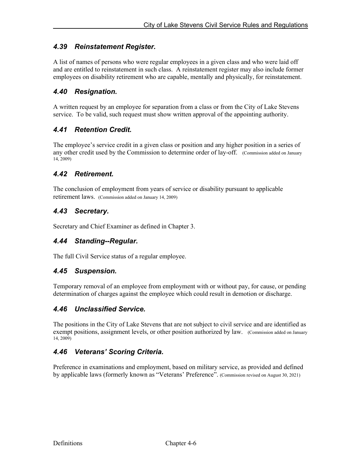# <span id="page-19-0"></span>*4.39 Reinstatement Register.*

A list of names of persons who were regular employees in a given class and who were laid off and are entitled to reinstatement in such class. A reinstatement register may also include former employees on disability retirement who are capable, mentally and physically, for reinstatement.

# <span id="page-19-1"></span>*4.40 Resignation.*

A written request by an employee for separation from a class or from the City of Lake Stevens service. To be valid, such request must show written approval of the appointing authority.

# <span id="page-19-2"></span>*4.41 Retention Credit.*

The employee's service credit in a given class or position and any higher position in a series of any other credit used by the Commission to determine order of lay-off. (Commission added on January 14, 2009)

# <span id="page-19-3"></span>*4.42 Retirement.*

The conclusion of employment from years of service or disability pursuant to applicable retirement laws. (Commission added on January 14, 2009)

# <span id="page-19-4"></span>*4.43 Secretary.*

Secretary and Chief Examiner as defined in Chapter 3.

#### <span id="page-19-5"></span>*4.44 Standing--Regular.*

The full Civil Service status of a regular employee.

#### <span id="page-19-6"></span>*4.45 Suspension.*

Temporary removal of an employee from employment with or without pay, for cause, or pending determination of charges against the employee which could result in demotion or discharge.

#### <span id="page-19-7"></span>*4.46 Unclassified Service.*

The positions in the City of Lake Stevens that are not subject to civil service and are identified as exempt positions, assignment levels, or other position authorized by law. (Commission added on January 14, 2009)

#### <span id="page-19-8"></span>*4.46 Veterans' Scoring Criteria.*

Preference in examinations and employment, based on military service, as provided and defined by applicable laws (formerly known as "Veterans' Preference". (Commission revised on August 30, 2021)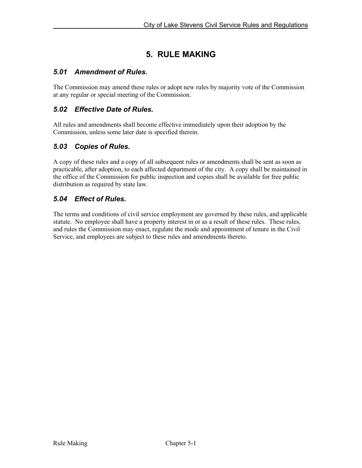# **5. RULE MAKING**

# <span id="page-20-1"></span><span id="page-20-0"></span>*5.01 Amendment of Rules.*

The Commission may amend these rules or adopt new rules by majority vote of the Commission at any regular or special meeting of the Commission.

### <span id="page-20-2"></span>*5.02 Effective Date of Rules.*

All rules and amendments shall become effective immediately upon their adoption by the Commission, unless some later date is specified therein.

#### <span id="page-20-3"></span>*5.03 Copies of Rules.*

A copy of these rules and a copy of all subsequent rules or amendments shall be sent as soon as practicable, after adoption, to each affected department of the city. A copy shall be maintained in the office of the Commission for public inspection and copies shall be available for free public distribution as required by state law.

# <span id="page-20-4"></span>*5.04 Effect of Rules.*

The terms and conditions of civil service employment are governed by these rules, and applicable statute. No employee shall have a property interest in or as a result of these rules. These rules, and rules the Commission may enact, regulate the mode and appointment of tenure in the Civil Service, and employees are subject to these rules and amendments thereto.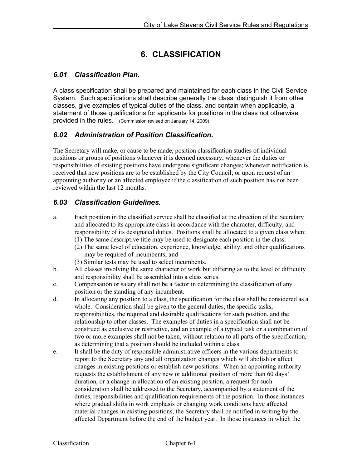# **6. CLASSIFICATION**

#### <span id="page-21-1"></span><span id="page-21-0"></span>*6.01 Classification Plan.*

A class specification shall be prepared and maintained for each class in the Civil Service System. Such specifications shall describe generally the class, distinguish it from other classes, give examples of typical duties of the class, and contain when applicable, a statement of those qualifications for applicants for positions in the class not otherwise provided in the rules. (Commission revised on January 14, 2009)

# <span id="page-21-2"></span>*6.02 Administration of Position Classification.*

The Secretary will make, or cause to be made, position classification studies of individual positions or groups of positions whenever it is deemed necessary; whenever the duties or responsibilities of existing positions have undergone significant changes; whenever notification is received that new positions are to be established by the City Council; or upon request of an appointing authority or an affected employee if the classification of such position has not been reviewed within the last 12 months.

# <span id="page-21-3"></span>*6.03 Classification Guidelines.*

- a. Each position in the classified service shall be classified at the direction of the Secretary and allocated to its appropriate class in accordance with the character, difficulty, and responsibility of its designated duties. Positions shall be allocated to a given class when:
	- (1) The same descriptive title may be used to designate each position in the class.
	- (2) The same level of education, experience, knowledge, ability, and other qualifications may be required of incumbents; and
	- (3) Similar tests may be used to select incumbents.
- b. All classes involving the same character of work but differing as to the level of difficulty and responsibility shall be assembled into a class series.
- c. Compensation or salary shall not be a factor in determining the classification of any position or the standing of any incumbent.
- d. In allocating any position to a class, the specification for the class shall be considered as a whole. Consideration shall be given to the general duties, the specific tasks, responsibilities, the required and desirable qualifications for such position, and the relationship to other classes. The examples of duties in a specification shall not be construed as exclusive or restrictive, and an example of a typical task or a combination of two or more examples shall not be taken, without relation to all parts of the specification, as determining that a position should be included within a class.
- e. It shall be the duty of responsible administrative officers in the various departments to report to the Secretary any and all organization changes which will abolish or affect changes in existing positions or establish new positions. When an appointing authority requests the establishment of any new or additional position of more than 60 days' duration, or a change in allocation of an existing position, a request for such consideration shall be addressed to the Secretary, accompanied by a statement of the duties, responsibilities and qualification requirements of the position. In those instances where gradual shifts in work emphasis or changing work conditions have affected material changes in existing positions, the Secretary shall be notified in writing by the affected Department before the end of the budget year. In those instances in which the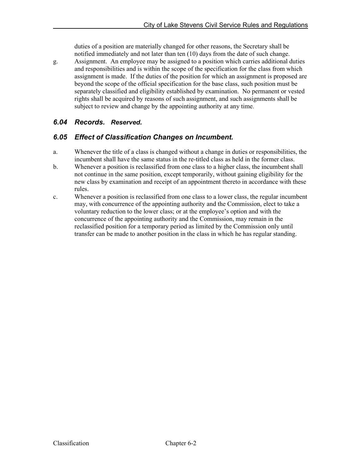duties of a position are materially changed for other reasons, the Secretary shall be notified immediately and not later than ten (10) days from the date of such change.

g. Assignment. An employee may be assigned to a position which carries additional duties and responsibilities and is within the scope of the specification for the class from which assignment is made. If the duties of the position for which an assignment is proposed are beyond the scope of the official specification for the base class, such position must be separately classified and eligibility established by examination. No permanent or vested rights shall be acquired by reasons of such assignment, and such assignments shall be subject to review and change by the appointing authority at any time.

#### <span id="page-22-0"></span>*6.04 Records. Reserved.*

#### <span id="page-22-1"></span>*6.05 Effect of Classification Changes on Incumbent.*

- a. Whenever the title of a class is changed without a change in duties or responsibilities, the incumbent shall have the same status in the re-titled class as held in the former class.
- b. Whenever a position is reclassified from one class to a higher class, the incumbent shall not continue in the same position, except temporarily, without gaining eligibility for the new class by examination and receipt of an appointment thereto in accordance with these rules.
- c. Whenever a position is reclassified from one class to a lower class, the regular incumbent may, with concurrence of the appointing authority and the Commission, elect to take a voluntary reduction to the lower class; or at the employee's option and with the concurrence of the appointing authority and the Commission, may remain in the reclassified position for a temporary period as limited by the Commission only until transfer can be made to another position in the class in which he has regular standing.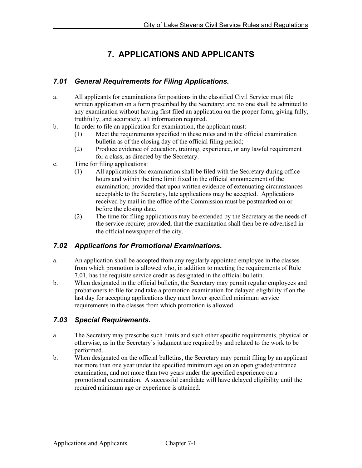# **7. APPLICATIONS AND APPLICANTS**

# <span id="page-23-1"></span><span id="page-23-0"></span>*7.01 General Requirements for Filing Applications.*

- a. All applicants for examinations for positions in the classified Civil Service must file written application on a form prescribed by the Secretary; and no one shall be admitted to any examination without having first filed an application on the proper form, giving fully, truthfully, and accurately, all information required.
- b. In order to file an application for examination, the applicant must:
	- (1) Meet the requirements specified in these rules and in the official examination bulletin as of the closing day of the official filing period;
	- (2) Produce evidence of education, training, experience, or any lawful requirement for a class, as directed by the Secretary.
- c. Time for filing applications:
	- (1) All applications for examination shall be filed with the Secretary during office hours and within the time limit fixed in the official announcement of the examination; provided that upon written evidence of extenuating circumstances acceptable to the Secretary, late applications may be accepted. Applications received by mail in the office of the Commission must be postmarked on or before the closing date.
	- (2) The time for filing applications may be extended by the Secretary as the needs of the service require; provided, that the examination shall then be re-advertised in the official newspaper of the city.

#### <span id="page-23-2"></span>*7.02 Applications for Promotional Examinations.*

- a. An application shall be accepted from any regularly appointed employee in the classes from which promotion is allowed who, in addition to meeting the requirements of Rule 7.01, has the requisite service credit as designated in the official bulletin.
- b. When designated in the official bulletin, the Secretary may permit regular employees and probationers to file for and take a promotion examination for delayed eligibility if on the last day for accepting applications they meet lower specified minimum service requirements in the classes from which promotion is allowed.

# <span id="page-23-3"></span>*7.03 Special Requirements.*

- a. The Secretary may prescribe such limits and such other specific requirements, physical or otherwise, as in the Secretary's judgment are required by and related to the work to be performed.
- b. When designated on the official bulletins, the Secretary may permit filing by an applicant not more than one year under the specified minimum age on an open graded/entrance examination, and not more than two years under the specified experience on a promotional examination. A successful candidate will have delayed eligibility until the required minimum age or experience is attained.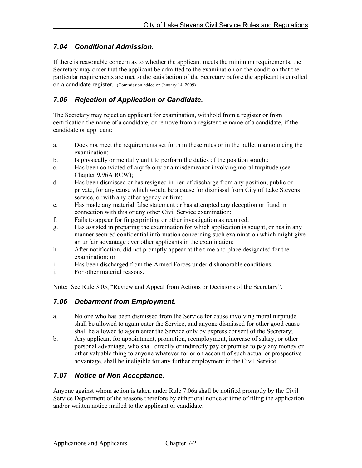# <span id="page-24-0"></span>*7.04 Conditional Admission.*

If there is reasonable concern as to whether the applicant meets the minimum requirements, the Secretary may order that the applicant be admitted to the examination on the condition that the particular requirements are met to the satisfaction of the Secretary before the applicant is enrolled on a candidate register. (Commission added on January 14, 2009)

# <span id="page-24-1"></span>*7.05 Rejection of Application or Candidate.*

The Secretary may reject an applicant for examination, withhold from a register or from certification the name of a candidate, or remove from a register the name of a candidate, if the candidate or applicant:

- a. Does not meet the requirements set forth in these rules or in the bulletin announcing the examination;
- b. Is physically or mentally unfit to perform the duties of the position sought;
- c. Has been convicted of any felony or a misdemeanor involving moral turpitude (see Chapter 9.96A RCW);
- d. Has been dismissed or has resigned in lieu of discharge from any position, public or private, for any cause which would be a cause for dismissal from City of Lake Stevens service, or with any other agency or firm;
- e. Has made any material false statement or has attempted any deception or fraud in connection with this or any other Civil Service examination;
- f. Fails to appear for fingerprinting or other investigation as required;
- g. Has assisted in preparing the examination for which application is sought, or has in any manner secured confidential information concerning such examination which might give an unfair advantage over other applicants in the examination;
- h. After notification, did not promptly appear at the time and place designated for the examination; or
- i. Has been discharged from the Armed Forces under dishonorable conditions.
- j. For other material reasons.

Note: See Rule 3.05, "Review and Appeal from Actions or Decisions of the Secretary".

#### <span id="page-24-2"></span>*7.06 Debarment from Employment.*

- a. No one who has been dismissed from the Service for cause involving moral turpitude shall be allowed to again enter the Service, and anyone dismissed for other good cause shall be allowed to again enter the Service only by express consent of the Secretary;
- b. Any applicant for appointment, promotion, reemployment, increase of salary, or other personal advantage, who shall directly or indirectly pay or promise to pay any money or other valuable thing to anyone whatever for or on account of such actual or prospective advantage, shall be ineligible for any further employment in the Civil Service.

#### <span id="page-24-3"></span>*7.07 Notice of Non Acceptance.*

Anyone against whom action is taken under Rule 7.06a shall be notified promptly by the Civil Service Department of the reasons therefore by either oral notice at time of filing the application and/or written notice mailed to the applicant or candidate.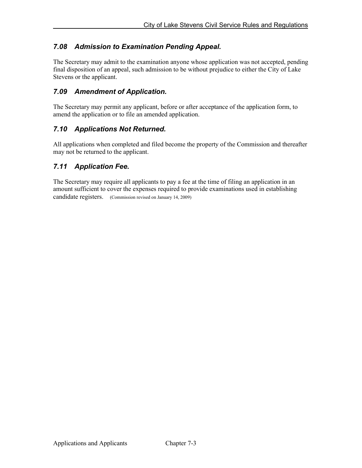# <span id="page-25-0"></span>*7.08 Admission to Examination Pending Appeal.*

The Secretary may admit to the examination anyone whose application was not accepted, pending final disposition of an appeal, such admission to be without prejudice to either the City of Lake Stevens or the applicant.

# <span id="page-25-1"></span>*7.09 Amendment of Application.*

The Secretary may permit any applicant, before or after acceptance of the application form, to amend the application or to file an amended application.

#### <span id="page-25-2"></span>*7.10 Applications Not Returned.*

All applications when completed and filed become the property of the Commission and thereafter may not be returned to the applicant.

# <span id="page-25-3"></span>*7.11 Application Fee.*

The Secretary may require all applicants to pay a fee at the time of filing an application in an amount sufficient to cover the expenses required to provide examinations used in establishing candidate registers. (Commission revised on January 14, 2009)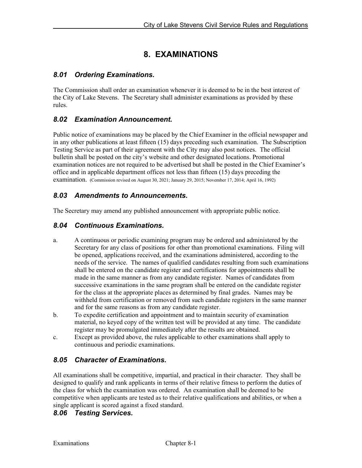# **8. EXAMINATIONS**

# <span id="page-26-1"></span><span id="page-26-0"></span>*8.01 Ordering Examinations.*

The Commission shall order an examination whenever it is deemed to be in the best interest of the City of Lake Stevens. The Secretary shall administer examinations as provided by these rules.

#### <span id="page-26-2"></span>*8.02 Examination Announcement.*

Public notice of examinations may be placed by the Chief Examiner in the official newspaper and in any other publications at least fifteen (15) days preceding such examination. The Subscription Testing Service as part of their agreement with the City may also post notices. The official bulletin shall be posted on the city's website and other designated locations. Promotional examination notices are not required to be advertised but shall be posted in the Chief Examiner's office and in applicable department offices not less than fifteen (15) days preceding the examination. (Commission revised on August 30, 2021; January 29, 2015; November 17, 2014; April 16, 1992)

#### <span id="page-26-3"></span>*8.03 Amendments to Announcements.*

The Secretary may amend any published announcement with appropriate public notice.

#### <span id="page-26-4"></span>*8.04 Continuous Examinations.*

- a. A continuous or periodic examining program may be ordered and administered by the Secretary for any class of positions for other than promotional examinations. Filing will be opened, applications received, and the examinations administered, according to the needs of the service. The names of qualified candidates resulting from such examinations shall be entered on the candidate register and certifications for appointments shall be made in the same manner as from any candidate register. Names of candidates from successive examinations in the same program shall be entered on the candidate register for the class at the appropriate places as determined by final grades. Names may be withheld from certification or removed from such candidate registers in the same manner and for the same reasons as from any candidate register.
- b. To expedite certification and appointment and to maintain security of examination material, no keyed copy of the written test will be provided at any time. The candidate register may be promulgated immediately after the results are obtained.
- c. Except as provided above, the rules applicable to other examinations shall apply to continuous and periodic examinations.

#### <span id="page-26-5"></span>*8.05 Character of Examinations.*

All examinations shall be competitive, impartial, and practical in their character. They shall be designed to qualify and rank applicants in terms of their relative fitness to perform the duties of the class for which the examination was ordered. An examination shall be deemed to be competitive when applicants are tested as to their relative qualifications and abilities, or when a single applicant is scored against a fixed standard.

#### <span id="page-26-6"></span>*8.06 Testing Services.*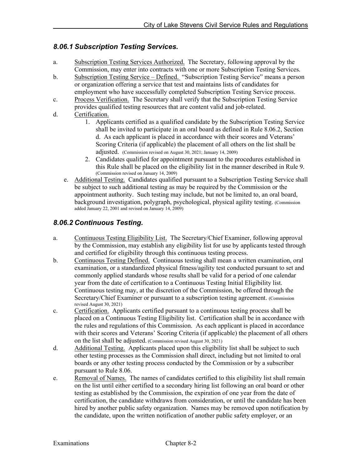#### <span id="page-27-0"></span>*8.06.1 Subscription Testing Services.*

- a. Subscription Testing Services Authorized. The Secretary, following approval by the Commission, may enter into contracts with one or more Subscription Testing Services.
- b. Subscription Testing Service Defined. "Subscription Testing Service" means a person or organization offering a service that test and maintains lists of candidates for employment who have successfully completed Subscription Testing Service process.
- c. Process Verification. The Secretary shall verify that the Subscription Testing Service provides qualified testing resources that are content valid and job-related.
- d. Certification.
	- 1. Applicants certified as a qualified candidate by the Subscription Testing Service shall be invited to participate in an oral board as defined in Rule 8.06.2, Section d. As each applicant is placed in accordance with their scores and Veterans' Scoring Criteria (if applicable) the placement of all others on the list shall be adjusted. (Commission revised on August 30, 2021; January 14, 2009)
	- 2. Candidates qualified for appointment pursuant to the procedures established in this Rule shall be placed on the eligibility list in the manner described in Rule 9. (Commission revised on January 14, 2009)
	- e. Additional Testing. Candidates qualified pursuant to a Subscription Testing Service shall be subject to such additional testing as may be required by the Commission or the appointment authority. Such testing may include, but not be limited to, an oral board, background investigation, polygraph, psychological, physical agility testing. (Commission added January 22, 2001 and revised on January  $14, 2009$ )

#### <span id="page-27-1"></span>*8.06.2 Continuous Testing.*

- a. Continuous Testing Eligibility List. The Secretary/Chief Examiner, following approval by the Commission, may establish any eligibility list for use by applicants tested through and certified for eligibility through this continuous testing process.
- b. Continuous Testing Defined. Continuous testing shall mean a written examination, oral examination, or a standardized physical fitness/agility test conducted pursuant to set and commonly applied standards whose results shall be valid for a period of one calendar year from the date of certification to a Continuous Testing Initial Eligibility list. Continuous testing may, at the discretion of the Commission, be offered through the Secretary/Chief Examiner or pursuant to a subscription testing agreement. (Commission revised August 30, 2021)
- c. Certification. Applicants certified pursuant to a continuous testing process shall be placed on a Continuous Testing Eligibility list. Certification shall be in accordance with the rules and regulations of this Commission. As each applicant is placed in accordance with their scores and Veterans' Scoring Criteria (if applicable) the placement of all others on the list shall be adjusted. (Commission revised August 30, 2021)
- d. Additional Testing. Applicants placed upon this eligibility list shall be subject to such other testing processes as the Commission shall direct, including but not limited to oral boards or any other testing process conducted by the Commission or by a subscriber pursuant to Rule 8.06.
- e. Removal of Names. The names of candidates certified to this eligibility list shall remain on the list until either certified to a secondary hiring list following an oral board or other testing as established by the Commission, the expiration of one year from the date of certification, the candidate withdraws from consideration, or until the candidate has been hired by another public safety organization. Names may be removed upon notification by the candidate, upon the written notification of another public safety employer, or an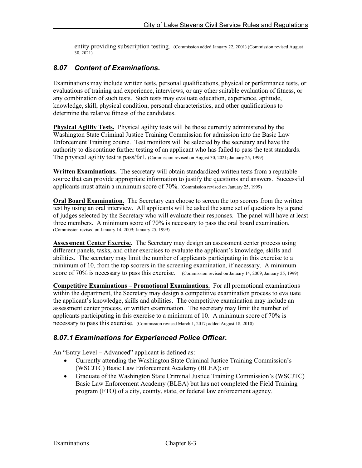entity providing subscription testing. (Commission added January 22, 2001) (Commission revised August 30, 2021)

#### <span id="page-28-0"></span>*8.07 Content of Examinations.*

Examinations may include written tests, personal qualifications, physical or performance tests, or evaluations of training and experience, interviews, or any other suitable evaluation of fitness, or any combination of such tests. Such tests may evaluate education, experience, aptitude, knowledge, skill, physical condition, personal characteristics, and other qualifications to determine the relative fitness of the candidates.

**Physical Agility Tests.** Physical agility tests will be those currently administered by the Washington State Criminal Justice Training Commission for admission into the Basic Law Enforcement Training course. Test monitors will be selected by the secretary and have the authority to discontinue further testing of an applicant who has failed to pass the test standards. The physical agility test is pass/fail. (Commission revised on August 30, 2021; January 25, 1999)

**Written Examinations.** The secretary will obtain standardized written tests from a reputable source that can provide appropriate information to justify the questions and answers. Successful applicants must attain a minimum score of 70%. (Commission revised on January 25, 1999)

**Oral Board Examination**. The Secretary can choose to screen the top scorers from the written test by using an oral interview. All applicants will be asked the same set of questions by a panel of judges selected by the Secretary who will evaluate their responses. The panel will have at least three members. A minimum score of 70% is necessary to pass the oral board examination. (Commission revised on January 14, 2009; January 25, 1999)

**Assessment Center Exercise.** The Secretary may design an assessment center process using different panels, tasks, and other exercises to evaluate the applicant's knowledge, skills and abilities. The secretary may limit the number of applicants participating in this exercise to a minimum of 10, from the top scorers in the screening examination, if necessary. A minimum score of 70% is necessary to pass this exercise. (Commission revised on January 14, 2009; January 25, 1999)

**Competitive Examinations – Promotional Examinations.** For all promotional examinations within the department, the Secretary may design a competitive examination process to evaluate the applicant's knowledge, skills and abilities. The competitive examination may include an assessment center process, or written examination. The secretary may limit the number of applicants participating in this exercise to a minimum of 10. A minimum score of 70% is necessary to pass this exercise. (Commission revised March 1, 2017; added August 18, 2010)

#### <span id="page-28-1"></span>*8.07.1 Examinations for Experienced Police Officer.*

An "Entry Level – Advanced" applicant is defined as:

- Currently attending the Washington State Criminal Justice Training Commission's (WSCJTC) Basic Law Enforcement Academy (BLEA); or
- Graduate of the Washington State Criminal Justice Training Commission's (WSCJTC) Basic Law Enforcement Academy (BLEA) but has not completed the Field Training program (FTO) of a city, county, state, or federal law enforcement agency.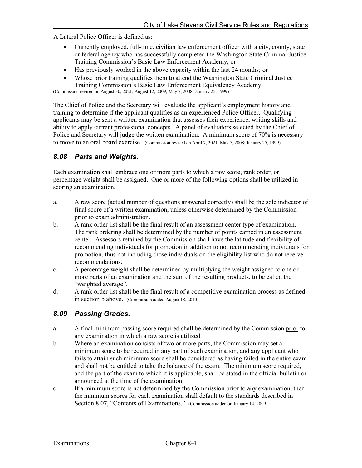A Lateral Police Officer is defined as:

- Currently employed, full-time, civilian law enforcement officer with a city, county, state or federal agency who has successfully completed the Washington State Criminal Justice Training Commission's Basic Law Enforcement Academy; or
- Has previously worked in the above capacity within the last 24 months; or
- Whose prior training qualifies them to attend the Washington State Criminal Justice Training Commission's Basic Law Enforcement Equivalency Academy.

(Commission revised on August 30, 2021; August 12, 2009; May 7, 2008; January 25, 1999)

The Chief of Police and the Secretary will evaluate the applicant's employment history and training to determine if the applicant qualifies as an experienced Police Officer. Qualifying applicants may be sent a written examination that assesses their experience, writing skills and ability to apply current professional concepts. A panel of evaluators selected by the Chief of Police and Secretary will judge the written examination. A minimum score of 70% is necessary to move to an oral board exercise. (Commission revised on April 7, 2021; May 7, 2008; January 25, 1999)

#### <span id="page-29-0"></span>*8.08 Parts and Weights.*

Each examination shall embrace one or more parts to which a raw score, rank order, or percentage weight shall be assigned. One or more of the following options shall be utilized in scoring an examination.

- a. A raw score (actual number of questions answered correctly) shall be the sole indicator of final score of a written examination, unless otherwise determined by the Commission prior to exam administration.
- b. A rank order list shall be the final result of an assessment center type of examination. The rank ordering shall be determined by the number of points earned in an assessment center. Assessors retained by the Commission shall have the latitude and flexibility of recommending individuals for promotion in addition to not recommending individuals for promotion, thus not including those individuals on the eligibility list who do not receive recommendations.
- c. A percentage weight shall be determined by multiplying the weight assigned to one or more parts of an examination and the sum of the resulting products, to be called the "weighted average".
- d. A rank order list shall be the final result of a competitive examination process as defined in section b above. (Commission added August 18, 2010)

#### <span id="page-29-1"></span>*8.09 Passing Grades.*

- a. A final minimum passing score required shall be determined by the Commission prior to any examination in which a raw score is utilized.
- b. Where an examination consists of two or more parts, the Commission may set a minimum score to be required in any part of such examination, and any applicant who fails to attain such minimum score shall be considered as having failed in the entire exam and shall not be entitled to take the balance of the exam. The minimum score required, and the part of the exam to which it is applicable, shall be stated in the official bulletin or announced at the time of the examination.
- c. If a minimum score is not determined by the Commission prior to any examination, then the minimum scores for each examination shall default to the standards described in Section 8.07, "Contents of Examinations." (Commission added on January 14, 2009)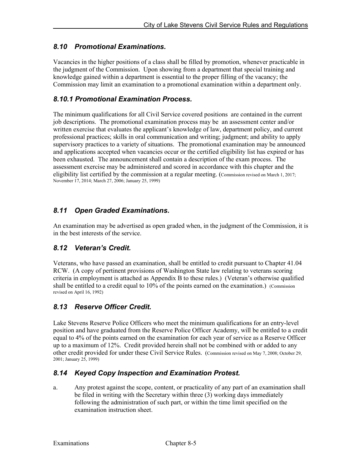# <span id="page-30-0"></span>*8.10 Promotional Examinations.*

Vacancies in the higher positions of a class shall be filled by promotion, whenever practicable in the judgment of the Commission. Upon showing from a department that special training and knowledge gained within a department is essential to the proper filling of the vacancy; the Commission may limit an examination to a promotional examination within a department only.

### <span id="page-30-1"></span>*8.10.1 Promotional Examination Process.*

The minimum qualifications for all Civil Service covered positions are contained in the current job descriptions. The promotional examination process may be an assessment center and/or written exercise that evaluates the applicant's knowledge of law, department policy, and current professional practices; skills in oral communication and writing; judgment; and ability to apply supervisory practices to a variety of situations. The promotional examination may be announced and applications accepted when vacancies occur or the certified eligibility list has expired or has been exhausted. The announcement shall contain a description of the exam process. The assessment exercise may be administered and scored in accordance with this chapter and the eligibility list certified by the commission at a regular meeting. (Commission revised on March 1, 2017; November 17, 2014; March 27, 2006; January 25, 1999)

# <span id="page-30-2"></span>*8.11 Open Graded Examinations.*

An examination may be advertised as open graded when, in the judgment of the Commission, it is in the best interests of the service.

#### <span id="page-30-3"></span>*8.12 Veteran's Credit.*

Veterans, who have passed an examination, shall be entitled to credit pursuant to Chapter 41.04 RCW. (A copy of pertinent provisions of Washington State law relating to veterans scoring criteria in employment is attached as Appendix B to these rules.) (Veteran's otherwise qualified shall be entitled to a credit equal to 10% of the points earned on the examination.) (Commission revised on April 16, 1992)

# <span id="page-30-4"></span>*8.13 Reserve Officer Credit.*

Lake Stevens Reserve Police Officers who meet the minimum qualifications for an entry-level position and have graduated from the Reserve Police Officer Academy, will be entitled to a credit equal to 4% of the points earned on the examination for each year of service as a Reserve Officer up to a maximum of 12%. Credit provided herein shall not be combined with or added to any other credit provided for under these Civil Service Rules. (Commission revised on May 7, 2008; October 29, 2001; January 25, 1999)

#### <span id="page-30-5"></span>*8.14 Keyed Copy Inspection and Examination Protest.*

a. Any protest against the scope, content, or practicality of any part of an examination shall be filed in writing with the Secretary within three (3) working days immediately following the administration of such part, or within the time limit specified on the examination instruction sheet.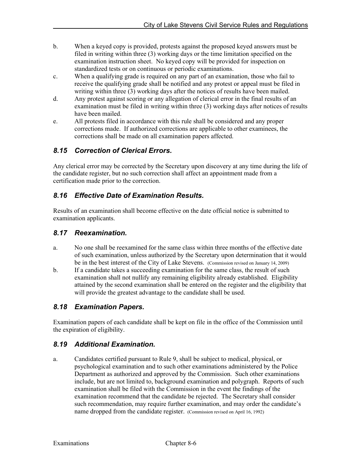- b. When a keyed copy is provided, protests against the proposed keyed answers must be filed in writing within three (3) working days or the time limitation specified on the examination instruction sheet. No keyed copy will be provided for inspection on standardized tests or on continuous or periodic examinations.
- c. When a qualifying grade is required on any part of an examination, those who fail to receive the qualifying grade shall be notified and any protest or appeal must be filed in writing within three (3) working days after the notices of results have been mailed.
- d. Any protest against scoring or any allegation of clerical error in the final results of an examination must be filed in writing within three (3) working days after notices of results have been mailed.
- e. All protests filed in accordance with this rule shall be considered and any proper corrections made. If authorized corrections are applicable to other examinees, the corrections shall be made on all examination papers affected.

# <span id="page-31-0"></span>*8.15 Correction of Clerical Errors.*

Any clerical error may be corrected by the Secretary upon discovery at any time during the life of the candidate register, but no such correction shall affect an appointment made from a certification made prior to the correction.

#### <span id="page-31-1"></span>*8.16 Effective Date of Examination Results.*

Results of an examination shall become effective on the date official notice is submitted to examination applicants.

#### <span id="page-31-2"></span>*8.17 Reexamination.*

- a. No one shall be reexamined for the same class within three months of the effective date of such examination, unless authorized by the Secretary upon determination that it would be in the best interest of the City of Lake Stevens. (Commission revised on January 14, 2009)
- b. If a candidate takes a succeeding examination for the same class, the result of such examination shall not nullify any remaining eligibility already established. Eligibility attained by the second examination shall be entered on the register and the eligibility that will provide the greatest advantage to the candidate shall be used.

#### <span id="page-31-3"></span>*8.18 Examination Papers.*

Examination papers of each candidate shall be kept on file in the office of the Commission until the expiration of eligibility.

#### <span id="page-31-4"></span>*8.19 Additional Examination.*

a. Candidates certified pursuant to Rule 9, shall be subject to medical, physical, or psychological examination and to such other examinations administered by the Police Department as authorized and approved by the Commission. Such other examinations include, but are not limited to, background examination and polygraph. Reports of such examination shall be filed with the Commission in the event the findings of the examination recommend that the candidate be rejected. The Secretary shall consider such recommendation, may require further examination, and may order the candidate's name dropped from the candidate register. (Commission revised on April 16, 1992)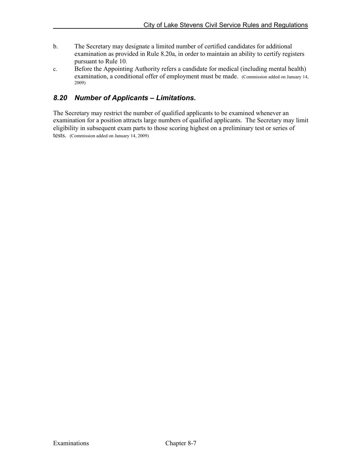- b. The Secretary may designate a limited number of certified candidates for additional examination as provided in Rule 8.20a, in order to maintain an ability to certify registers pursuant to Rule 10.
- c. Before the Appointing Authority refers a candidate for medical (including mental health) examination, a conditional offer of employment must be made. (Commission added on January 14, 2009)

#### <span id="page-32-0"></span>*8.20 Number of Applicants – Limitations.*

The Secretary may restrict the number of qualified applicants to be examined whenever an examination for a position attracts large numbers of qualified applicants. The Secretary may limit eligibility in subsequent exam parts to those scoring highest on a preliminary test or series of tests. (Commission added on January 14, 2009)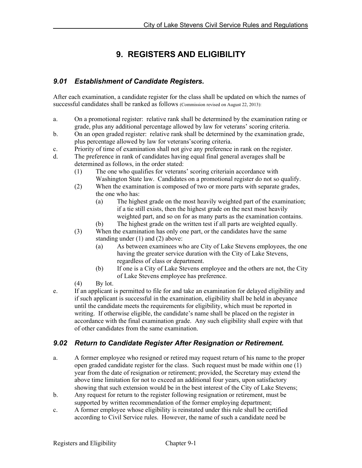# **9. REGISTERS AND ELIGIBILITY**

# <span id="page-33-1"></span><span id="page-33-0"></span>*9.01 Establishment of Candidate Registers.*

After each examination, a candidate register for the class shall be updated on which the names of successful candidates shall be ranked as follows (Commission revised on August 22, 2013):

- a. On a promotional register: relative rank shall be determined by the examination rating or grade, plus any additional percentage allowed by law for veterans' scoring criteria.
- b. On an open graded register: relative rank shall be determined by the examination grade, plus percentage allowed by law for veterans'scoring criteria.
- c. Priority of time of examination shall not give any preference in rank on the register.
- d. The preference in rank of candidates having equal final general averages shall be determined as follows, in the order stated:
	- (1) The one who qualifies for veterans' scoring criteriain accordance with Washington State law. Candidates on a promotional register do not so qualify.
	- (2) When the examination is composed of two or more parts with separate grades, the one who has:
		- (a) The highest grade on the most heavily weighted part of the examination; if a tie still exists, then the highest grade on the next most heavily weighted part, and so on for as many parts as the examination contains.
		- (b) The highest grade on the written test if all parts are weighted equally.
	- (3) When the examination has only one part, or the candidates have the same standing under (1) and (2) above:
		- (a) As between examinees who are City of Lake Stevens employees, the one having the greater service duration with the City of Lake Stevens, regardless of class or department.
		- (b) If one is a City of Lake Stevens employee and the others are not, the City of Lake Stevens employee has preference.
	- $(4)$  By lot.
- e. If an applicant is permitted to file for and take an examination for delayed eligibility and if such applicant is successful in the examination, eligibility shall be held in abeyance until the candidate meets the requirements for eligibility, which must be reported in writing. If otherwise eligible, the candidate's name shall be placed on the register in accordance with the final examination grade. Any such eligibility shall expire with that of other candidates from the same examination.

#### <span id="page-33-2"></span>*9.02 Return to Candidate Register After Resignation or Retirement.*

- a. A former employee who resigned or retired may request return of his name to the proper open graded candidate register for the class. Such request must be made within one (1) year from the date of resignation or retirement; provided, the Secretary may extend the above time limitation for not to exceed an additional four years, upon satisfactory showing that such extension would be in the best interest of the City of Lake Stevens;
- b. Any request for return to the register following resignation or retirement, must be supported by written recommendation of the former employing department;
- c. A former employee whose eligibility is reinstated under this rule shall be certified according to Civil Service rules. However, the name of such a candidate need be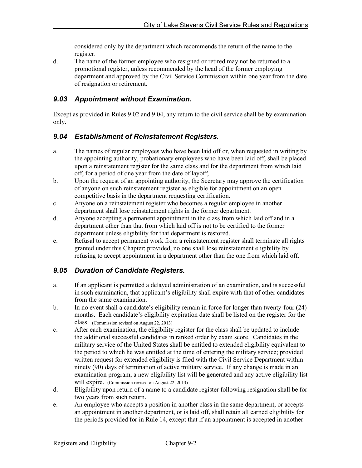considered only by the department which recommends the return of the name to the register.

d. The name of the former employee who resigned or retired may not be returned to a promotional register, unless recommended by the head of the former employing department and approved by the Civil Service Commission within one year from the date of resignation or retirement.

# <span id="page-34-0"></span>*9.03 Appointment without Examination.*

Except as provided in Rules 9.02 and 9.04, any return to the civil service shall be by examination only.

# <span id="page-34-1"></span>*9.04 Establishment of Reinstatement Registers.*

- a. The names of regular employees who have been laid off or, when requested in writing by the appointing authority, probationary employees who have been laid off, shall be placed upon a reinstatement register for the same class and for the department from which laid off, for a period of one year from the date of layoff;
- b. Upon the request of an appointing authority, the Secretary may approve the certification of anyone on such reinstatement register as eligible for appointment on an open competitive basis in the department requesting certification.
- c. Anyone on a reinstatement register who becomes a regular employee in another department shall lose reinstatement rights in the former department.
- d. Anyone accepting a permanent appointment in the class from which laid off and in a department other than that from which laid off is not to be certified to the former department unless eligibility for that department is restored.
- e. Refusal to accept permanent work from a reinstatement register shall terminate all rights granted under this Chapter; provided, no one shall lose reinstatement eligibility by refusing to accept appointment in a department other than the one from which laid off.

# <span id="page-34-2"></span>*9.05 Duration of Candidate Registers.*

- a. If an applicant is permitted a delayed administration of an examination, and is successful in such examination, that applicant's eligibility shall expire with that of other candidates from the same examination.
- b. In no event shall a candidate's eligibility remain in force for longer than twenty-four (24) months. Each candidate's eligibility expiration date shall be listed on the register for the class. (Commission revised on August 22, 2013)
- c. After each examination, the eligibility register for the class shall be updated to include the additional successful candidates in ranked order by exam score. Candidates in the military service of the United States shall be entitled to extended eligibility equivalent to the period to which he was entitled at the time of entering the military service; provided written request for extended eligibility is filed with the Civil Service Department within ninety (90) days of termination of active military service. If any change is made in an examination program, a new eligibility list will be generated and any active eligibility list will expire. (Commission revised on August 22, 2013)
- d. Eligibility upon return of a name to a candidate register following resignation shall be for two years from such return.
- e. An employee who accepts a position in another class in the same department, or accepts an appointment in another department, or is laid off, shall retain all earned eligibility for the periods provided for in Rule 14, except that if an appointment is accepted in another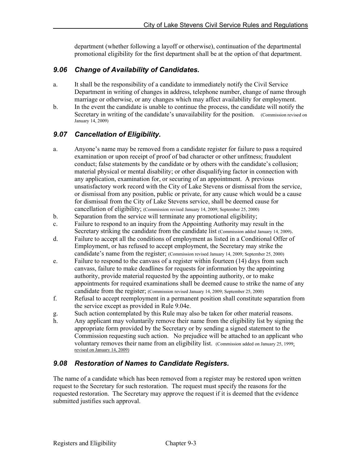department (whether following a layoff or otherwise), continuation of the departmental promotional eligibility for the first department shall be at the option of that department.

# <span id="page-35-0"></span>*9.06 Change of Availability of Candidates.*

- a. It shall be the responsibility of a candidate to immediately notify the Civil Service Department in writing of changes in address, telephone number, change of name through marriage or otherwise, or any changes which may affect availability for employment.
- b. In the event the candidate is unable to continue the process, the candidate will notify the Secretary in writing of the candidate's unavailability for the position. (Commission revised on January 14, 2009)

# <span id="page-35-1"></span>*9.07 Cancellation of Eligibility.*

- a. Anyone's name may be removed from a candidate register for failure to pass a required examination or upon receipt of proof of bad character or other unfitness; fraudulent conduct; false statements by the candidate or by others with the candidate's collusion; material physical or mental disability; or other disqualifying factor in connection with any application, examination for, or securing of an appointment. A previous unsatisfactory work record with the City of Lake Stevens or dismissal from the service, or dismissal from any position, public or private, for any cause which would be a cause for dismissal from the City of Lake Stevens service, shall be deemed cause for cancellation of eligibility; (Commission revised January 14, 2009; September 25, 2000)
- b. Separation from the service will terminate any promotional eligibility;
- c. Failure to respond to an inquiry from the Appointing Authority may result in the Secretary striking the candidate from the candidate list (Commission added January 14, 2009).
- d. Failure to accept all the conditions of employment as listed in a Conditional Offer of Employment, or has refused to accept employment, the Secretary may strike the candidate's name from the register; (Commission revised January 14, 2009; September 25, 2000)
- e. Failure to respond to the canvass of a register within fourteen (14) days from such canvass, failure to make deadlines for requests for information by the appointing authority, provide material requested by the appointing authority, or to make appointments for required examinations shall be deemed cause to strike the name of any candidate from the register; (Commission revised January 14, 2009; September 25, 2000)
- f. Refusal to accept reemployment in a permanent position shall constitute separation from the service except as provided in Rule 9.04e.
- g. Such action contemplated by this Rule may also be taken for other material reasons.
- h. Any applicant may voluntarily remove their name from the eligibility list by signing the appropriate form provided by the Secretary or by sending a signed statement to the Commission requesting such action. No prejudice will be attached to an applicant who voluntary removes their name from an eligibility list. (Commission added on January 25, 1999; revised on January 14, 2009)

#### <span id="page-35-2"></span>*9.08 Restoration of Names to Candidate Registers.*

The name of a candidate which has been removed from a register may be restored upon written request to the Secretary for such restoration. The request must specify the reasons for the requested restoration. The Secretary may approve the request if it is deemed that the evidence submitted justifies such approval.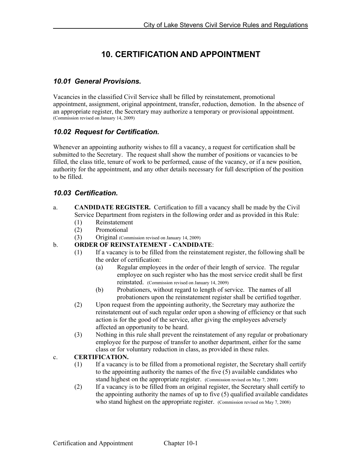# **10. CERTIFICATION AND APPOINTMENT**

# <span id="page-36-1"></span><span id="page-36-0"></span>*10.01 General Provisions.*

Vacancies in the classified Civil Service shall be filled by reinstatement, promotional appointment, assignment, original appointment, transfer, reduction, demotion. In the absence of an appropriate register, the Secretary may authorize a temporary or provisional appointment. (Commission revised on January 14, 2009)

# <span id="page-36-2"></span>*10.02 Request for Certification.*

Whenever an appointing authority wishes to fill a vacancy, a request for certification shall be submitted to the Secretary. The request shall show the number of positions or vacancies to be filled, the class title, tenure of work to be performed, cause of the vacancy, or if a new position, authority for the appointment, and any other details necessary for full description of the position to be filled.

# <span id="page-36-3"></span>*10.03 Certification.*

- a. **CANDIDATE REGISTER.** Certification to fill a vacancy shall be made by the Civil Service Department from registers in the following order and as provided in this Rule:
	- (1) Reinstatement
	- (2) Promotional
	- (3) Original (Commission revised on January 14, 2009)

#### b. **ORDER OF REINSTATEMENT - CANDIDATE**:

- (1) If a vacancy is to be filled from the reinstatement register, the following shall be the order of certification:
	- (a) Regular employees in the order of their length of service. The regular employee on such register who has the most service credit shall be first reinstated. (Commission revised on January 14, 2009)
	- (b) Probationers, without regard to length of service. The names of all probationers upon the reinstatement register shall be certified together.
- (2) Upon request from the appointing authority, the Secretary may authorize the reinstatement out of such regular order upon a showing of efficiency or that such action is for the good of the service, after giving the employees adversely affected an opportunity to be heard.
- (3) Nothing in this rule shall prevent the reinstatement of any regular or probationary employee for the purpose of transfer to another department, either for the same class or for voluntary reduction in class, as provided in these rules.

#### c. **CERTIFICATION.**

- (1) If a vacancy is to be filled from a promotional register, the Secretary shall certify to the appointing authority the names of the five (5) available candidates who stand highest on the appropriate register. (Commission revised on May 7, 2008)
- (2) If a vacancy is to be filled from an original register, the Secretary shall certify to the appointing authority the names of up to five (5) qualified available candidates who stand highest on the appropriate register. (Commission revised on May 7, 2008)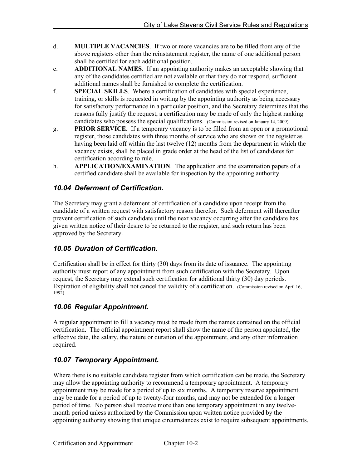- d. **MULTIPLE VACANCIES**. If two or more vacancies are to be filled from any of the above registers other than the reinstatement register, the name of one additional person shall be certified for each additional position.
- e. **ADDITIONAL NAMES**. If an appointing authority makes an acceptable showing that any of the candidates certified are not available or that they do not respond, sufficient additional names shall be furnished to complete the certification.
- f. **SPECIAL SKILLS**. Where a certification of candidates with special experience, training, or skills is requested in writing by the appointing authority as being necessary for satisfactory performance in a particular position, and the Secretary determines that the reasons fully justify the request, a certification may be made of only the highest ranking candidates who possess the special qualifications. (Commission revised on January 14, 2009)
- g. **PRIOR SERVICE.** If a temporary vacancy is to be filled from an open or a promotional register, those candidates with three months of service who are shown on the register as having been laid off within the last twelve (12) months from the department in which the vacancy exists, shall be placed in grade order at the head of the list of candidates for certification according to rule.
- h. **APPLICATION/EXAMINATION**. The application and the examination papers of a certified candidate shall be available for inspection by the appointing authority.

# <span id="page-37-0"></span>*10.04 Deferment of Certification.*

The Secretary may grant a deferment of certification of a candidate upon receipt from the candidate of a written request with satisfactory reason therefor. Such deferment will thereafter prevent certification of such candidate until the next vacancy occurring after the candidate has given written notice of their desire to be returned to the register, and such return has been approved by the Secretary.

# <span id="page-37-1"></span>*10.05 Duration of Certification.*

Certification shall be in effect for thirty (30) days from its date of issuance. The appointing authority must report of any appointment from such certification with the Secretary. Upon request, the Secretary may extend such certification for additional thirty (30) day periods. Expiration of eligibility shall not cancel the validity of a certification. (Commission revised on April 16, 1992)

# <span id="page-37-2"></span>*10.06 Regular Appointment.*

A regular appointment to fill a vacancy must be made from the names contained on the official certification. The official appointment report shall show the name of the person appointed, the effective date, the salary, the nature or duration of the appointment, and any other information required.

# <span id="page-37-3"></span>*10.07 Temporary Appointment.*

Where there is no suitable candidate register from which certification can be made, the Secretary may allow the appointing authority to recommend a temporary appointment. A temporary appointment may be made for a period of up to six months. A temporary reserve appointment may be made for a period of up to twenty-four months, and may not be extended for a longer period of time. No person shall receive more than one temporary appointment in any twelvemonth period unless authorized by the Commission upon written notice provided by the appointing authority showing that unique circumstances exist to require subsequent appointments.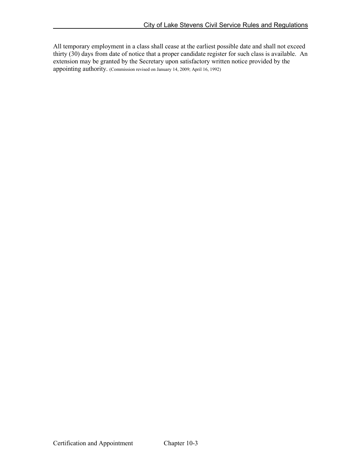All temporary employment in a class shall cease at the earliest possible date and shall not exceed thirty (30) days from date of notice that a proper candidate register for such class is available. An extension may be granted by the Secretary upon satisfactory written notice provided by the appointing authority. (Commission revised on January 14, 2009; April 16, 1992)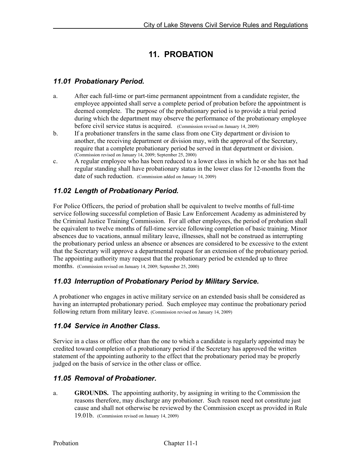# **11. PROBATION**

### <span id="page-39-1"></span><span id="page-39-0"></span>*11.01 Probationary Period.*

- a. After each full-time or part-time permanent appointment from a candidate register, the employee appointed shall serve a complete period of probation before the appointment is deemed complete. The purpose of the probationary period is to provide a trial period during which the department may observe the performance of the probationary employee before civil service status is acquired. (Commission revised on January 14, 2009)
- b. If a probationer transfers in the same class from one City department or division to another, the receiving department or division may, with the approval of the Secretary, require that a complete probationary period be served in that department or division. (Commission revised on January 14, 2009; September 25, 2000)
- c. A regular employee who has been reduced to a lower class in which he or she has not had regular standing shall have probationary status in the lower class for 12-months from the date of such reduction. (Commission added on January 14, 2009)

# <span id="page-39-2"></span>*11.02 Length of Probationary Period.*

For Police Officers, the period of probation shall be equivalent to twelve months of full-time service following successful completion of Basic Law Enforcement Academy as administered by the Criminal Justice Training Commission. For all other employees, the period of probation shall be equivalent to twelve months of full-time service following completion of basic training. Minor absences due to vacations, annual military leave, illnesses, shall not be construed as interrupting the probationary period unless an absence or absences are considered to be excessive to the extent that the Secretary will approve a departmental request for an extension of the probationary period. The appointing authority may request that the probationary period be extended up to three months. (Commission revised on January 14, 2009; September 25, 2000)

#### <span id="page-39-3"></span>*11.03 Interruption of Probationary Period by Military Service.*

A probationer who engages in active military service on an extended basis shall be considered as having an interrupted probationary period. Such employee may continue the probationary period following return from military leave. (Commission revised on January 14, 2009)

#### <span id="page-39-4"></span>*11.04 Service in Another Class.*

Service in a class or office other than the one to which a candidate is regularly appointed may be credited toward completion of a probationary period if the Secretary has approved the written statement of the appointing authority to the effect that the probationary period may be properly judged on the basis of service in the other class or office.

#### <span id="page-39-5"></span>*11.05 Removal of Probationer.*

a. **GROUNDS.** The appointing authority, by assigning in writing to the Commission the reasons therefore, may discharge any probationer. Such reason need not constitute just cause and shall not otherwise be reviewed by the Commission except as provided in Rule 19.01b. (Commission revised on January 14, 2009)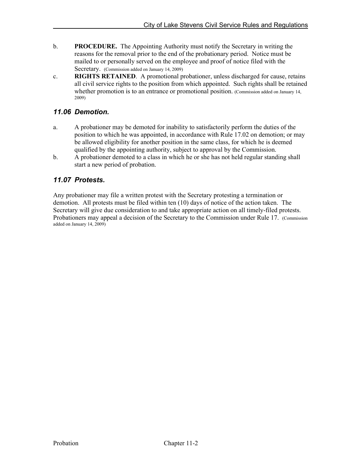- b. **PROCEDURE.** The Appointing Authority must notify the Secretary in writing the reasons for the removal prior to the end of the probationary period. Notice must be mailed to or personally served on the employee and proof of notice filed with the Secretary. (Commission added on January 14, 2009)
- c. **RIGHTS RETAINED**. A promotional probationer, unless discharged for cause, retains all civil service rights to the position from which appointed. Such rights shall be retained whether promotion is to an entrance or promotional position. (Commission added on January 14, 2009)

# <span id="page-40-0"></span>*11.06 Demotion.*

- a. A probationer may be demoted for inability to satisfactorily perform the duties of the position to which he was appointed, in accordance with Rule 17.02 on demotion; or may be allowed eligibility for another position in the same class, for which he is deemed qualified by the appointing authority, subject to approval by the Commission.
- b. A probationer demoted to a class in which he or she has not held regular standing shall start a new period of probation.

# <span id="page-40-1"></span>*11.07 Protests.*

Any probationer may file a written protest with the Secretary protesting a termination or demotion. All protests must be filed within ten (10) days of notice of the action taken. The Secretary will give due consideration to and take appropriate action on all timely-filed protests. Probationers may appeal a decision of the Secretary to the Commission under Rule 17. (Commission added on January 14, 2009)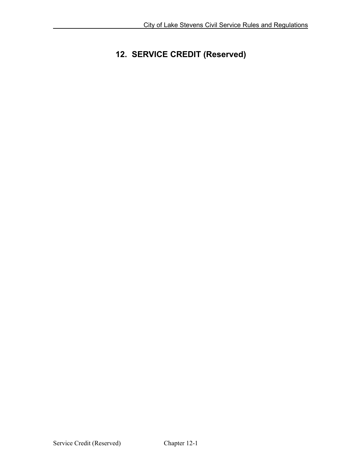# <span id="page-41-0"></span>**12. SERVICE CREDIT (Reserved)**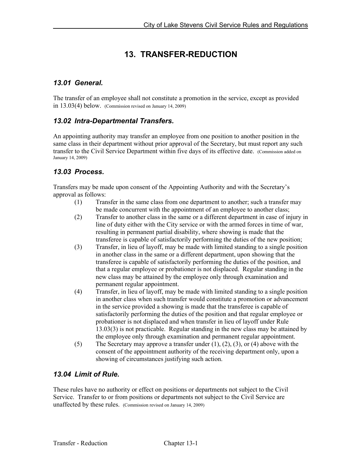# **13. TRANSFER-REDUCTION**

# <span id="page-42-1"></span><span id="page-42-0"></span>*13.01 General.*

The transfer of an employee shall not constitute a promotion in the service, except as provided in 13.03(4) below. (Commission revised on January 14, 2009)

#### <span id="page-42-2"></span>*13.02 Intra-Departmental Transfers.*

An appointing authority may transfer an employee from one position to another position in the same class in their department without prior approval of the Secretary, but must report any such transfer to the Civil Service Department within five days of its effective date. (Commission added on January 14, 2009)

#### <span id="page-42-3"></span>*13.03 Process.*

Transfers may be made upon consent of the Appointing Authority and with the Secretary's approval as follows:

- (1) Transfer in the same class from one department to another; such a transfer may be made concurrent with the appointment of an employee to another class;
- (2) Transfer to another class in the same or a different department in case of injury in line of duty either with the City service or with the armed forces in time of war, resulting in permanent partial disability, where showing is made that the transferee is capable of satisfactorily performing the duties of the new position;
- (3) Transfer, in lieu of layoff, may be made with limited standing to a single position in another class in the same or a different department, upon showing that the transferee is capable of satisfactorily performing the duties of the position, and that a regular employee or probationer is not displaced. Regular standing in the new class may be attained by the employee only through examination and permanent regular appointment.
- (4) Transfer, in lieu of layoff, may be made with limited standing to a single position in another class when such transfer would constitute a promotion or advancement in the service provided a showing is made that the transferee is capable of satisfactorily performing the duties of the position and that regular employee or probationer is not displaced and when transfer in lieu of layoff under Rule 13.03(3) is not practicable. Regular standing in the new class may be attained by the employee only through examination and permanent regular appointment.
- (5) The Secretary may approve a transfer under (1), (2), (3), or (4) above with the consent of the appointment authority of the receiving department only, upon a showing of circumstances justifying such action.

#### <span id="page-42-4"></span>*13.04 Limit of Rule.*

These rules have no authority or effect on positions or departments not subject to the Civil Service. Transfer to or from positions or departments not subject to the Civil Service are unaffected by these rules. (Commission revised on January 14, 2009)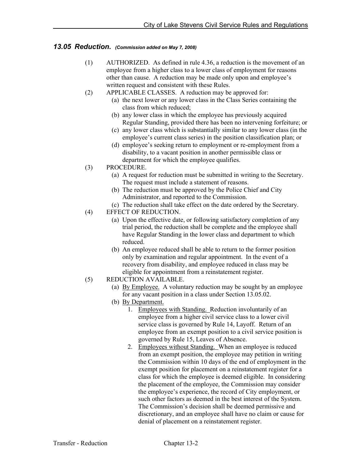#### <span id="page-43-0"></span>*13.05 Reduction. (Commission added on May 7, 2008)*

- (1) AUTHORIZED. As defined in rule 4.36, a reduction is the movement of an employee from a higher class to a lower class of employment for reasons other than cause. A reduction may be made only upon and employee's written request and consistent with these Rules.
- (2) APPLICABLE CLASSES. A reduction may be approved for:
	- (a) the next lower or any lower class in the Class Series containing the class from which reduced;
	- (b) any lower class in which the employee has previously acquired Regular Standing, provided there has been no intervening forfeiture; or
	- (c) any lower class which is substantially similar to any lower class (in the employee's current class series) in the position classification plan; or
	- (d) employee's seeking return to employment or re-employment from a disability, to a vacant position in another permissible class or department for which the employee qualifies.
- (3) PROCEDURE.
	- (a) A request for reduction must be submitted in writing to the Secretary. The request must include a statement of reasons.
	- (b) The reduction must be approved by the Police Chief and City Administrator, and reported to the Commission.
	- (c) The reduction shall take effect on the date ordered by the Secretary.
- (4) EFFECT OF REDUCTION.
	- (a) Upon the effective date, or following satisfactory completion of any trial period, the reduction shall be complete and the employee shall have Regular Standing in the lower class and department to which reduced.
	- (b) An employee reduced shall be able to return to the former position only by examination and regular appointment. In the event of a recovery from disability, and employee reduced in class may be eligible for appointment from a reinstatement register.
- (5) REDUCTION AVAILABLE.
	- (a) By Employee. A voluntary reduction may be sought by an employee for any vacant position in a class under Section 13.05.02.
	- (b) By Department.
		- 1. Employees with Standing. Reduction involuntarily of an employee from a higher civil service class to a lower civil service class is governed by Rule 14, Layoff. Return of an employee from an exempt position to a civil service position is governed by Rule 15, Leaves of Absence.
		- 2. Employees without Standing. When an employee is reduced from an exempt position, the employee may petition in writing the Commission within 10 days of the end of employment in the exempt position for placement on a reinstatement register for a class for which the employee is deemed eligible. In considering the placement of the employee, the Commission may consider the employee's experience, the record of City employment, or such other factors as deemed in the best interest of the System. The Commission's decision shall be deemed permissive and discretionary, and an employee shall have no claim or cause for denial of placement on a reinstatement register.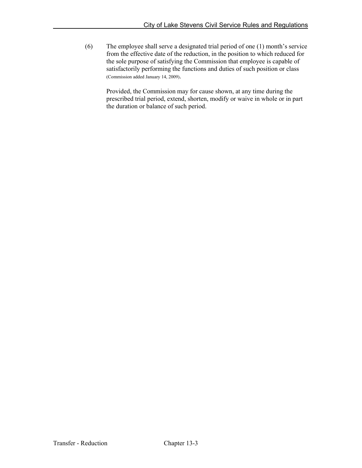(6) The employee shall serve a designated trial period of one (1) month's service from the effective date of the reduction, in the position to which reduced for the sole purpose of satisfying the Commission that employee is capable of satisfactorily performing the functions and duties of such position or class (Commission added January 14, 2009).

Provided, the Commission may for cause shown, at any time during the prescribed trial period, extend, shorten, modify or waive in whole or in part the duration or balance of such period.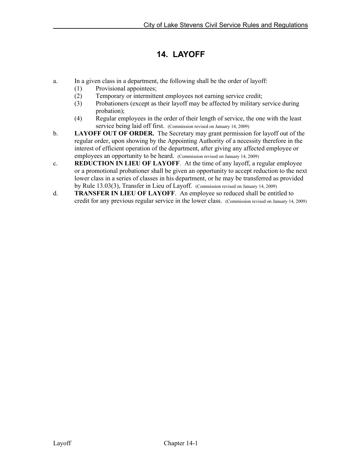# **14. LAYOFF**

- <span id="page-45-0"></span>a. In a given class in a department, the following shall be the order of layoff:
	- (1) Provisional appointees;
	- (2) Temporary or intermittent employees not earning service credit;
	- (3) Probationers (except as their layoff may be affected by military service during probation);
	- (4) Regular employees in the order of their length of service, the one with the least service being laid off first. (Commission revised on January 14, 2009)
- b. **LAYOFF OUT OF ORDER.** The Secretary may grant permission for layoff out of the regular order, upon showing by the Appointing Authority of a necessity therefore in the interest of efficient operation of the department, after giving any affected employee or employees an opportunity to be heard. (Commission revised on January 14, 2009)
- c. **REDUCTION IN LIEU OF LAYOFF**. At the time of any layoff, a regular employee or a promotional probationer shall be given an opportunity to accept reduction to the next lower class in a series of classes in his department, or he may be transferred as provided by Rule 13.03(3), Transfer in Lieu of Layoff. (Commission revised on January 14, 2009)
- d. **TRANSFER IN LIEU OF LAYOFF**. An employee so reduced shall be entitled to credit for any previous regular service in the lower class. (Commission revised on January 14, 2009)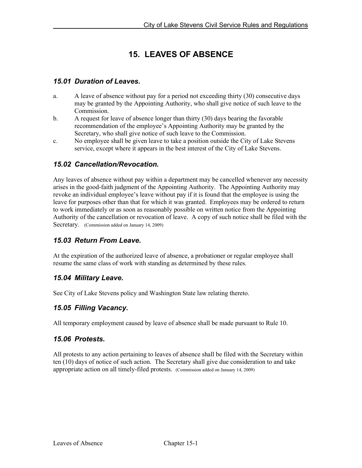# **15. LEAVES OF ABSENCE**

#### <span id="page-46-1"></span><span id="page-46-0"></span>*15.01 Duration of Leaves.*

- a. A leave of absence without pay for a period not exceeding thirty (30) consecutive days may be granted by the Appointing Authority, who shall give notice of such leave to the Commission.
- b. A request for leave of absence longer than thirty (30) days bearing the favorable recommendation of the employee's Appointing Authority may be granted by the Secretary, who shall give notice of such leave to the Commission.
- c. No employee shall be given leave to take a position outside the City of Lake Stevens service, except where it appears in the best interest of the City of Lake Stevens.

#### <span id="page-46-2"></span>*15.02 Cancellation/Revocation.*

Any leaves of absence without pay within a department may be cancelled whenever any necessity arises in the good-faith judgment of the Appointing Authority. The Appointing Authority may revoke an individual employee's leave without pay if it is found that the employee is using the leave for purposes other than that for which it was granted. Employees may be ordered to return to work immediately or as soon as reasonably possible on written notice from the Appointing Authority of the cancellation or revocation of leave. A copy of such notice shall be filed with the Secretary. (Commission added on January 14, 2009)

#### <span id="page-46-3"></span>*15.03 Return From Leave.*

At the expiration of the authorized leave of absence, a probationer or regular employee shall resume the same class of work with standing as determined by these rules.

#### <span id="page-46-4"></span>*15.04 Military Leave.*

See City of Lake Stevens policy and Washington State law relating thereto.

#### <span id="page-46-5"></span>*15.05 Filling Vacancy.*

All temporary employment caused by leave of absence shall be made pursuant to Rule 10.

#### <span id="page-46-6"></span>*15.06 Protests.*

All protests to any action pertaining to leaves of absence shall be filed with the Secretary within ten (10) days of notice of such action. The Secretary shall give due consideration to and take appropriate action on all timely-filed protests. (Commission added on January 14, 2009)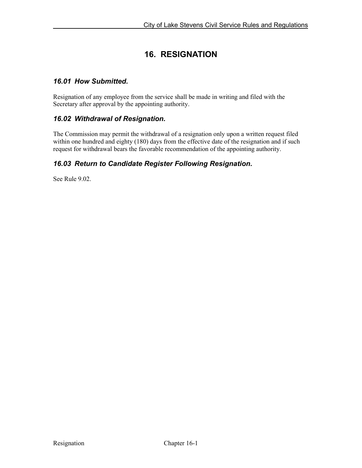# **16. RESIGNATION**

#### <span id="page-47-1"></span><span id="page-47-0"></span>*16.01 How Submitted.*

Resignation of any employee from the service shall be made in writing and filed with the Secretary after approval by the appointing authority.

#### <span id="page-47-2"></span>*16.02 Withdrawal of Resignation.*

The Commission may permit the withdrawal of a resignation only upon a written request filed within one hundred and eighty (180) days from the effective date of the resignation and if such request for withdrawal bears the favorable recommendation of the appointing authority.

#### <span id="page-47-3"></span>*16.03 Return to Candidate Register Following Resignation.*

See Rule 9.02.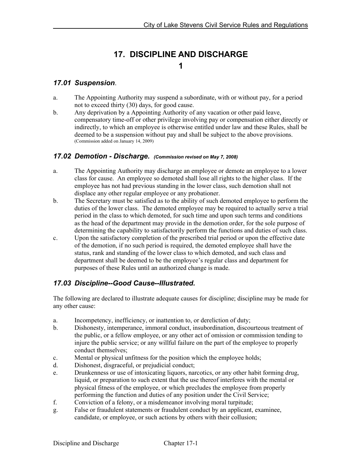# **17. DISCIPLINE AND DISCHARGE 1**

#### <span id="page-48-1"></span><span id="page-48-0"></span>*17.01 Suspension*.

- a. The Appointing Authority may suspend a subordinate, with or without pay, for a period not to exceed thirty (30) days, for good cause.
- b. Any deprivation by a Appointing Authority of any vacation or other paid leave, compensatory time-off or other privilege involving pay or compensation either directly or indirectly, to which an employee is otherwise entitled under law and these Rules, shall be deemed to be a suspension without pay and shall be subject to the above provisions. (Commission added on January 14, 2009)

#### <span id="page-48-2"></span>*17.02 Demotion - Discharge. (Commission revised on May 7, 2008)*

- a. The Appointing Authority may discharge an employee or demote an employee to a lower class for cause. An employee so demoted shall lose all rights to the higher class. If the employee has not had previous standing in the lower class, such demotion shall not displace any other regular employee or any probationer.
- b. The Secretary must be satisfied as to the ability of such demoted employee to perform the duties of the lower class. The demoted employee may be required to actually serve a trial period in the class to which demoted, for such time and upon such terms and conditions as the head of the department may provide in the demotion order, for the sole purpose of determining the capability to satisfactorily perform the functions and duties of such class.
- c. Upon the satisfactory completion of the prescribed trial period or upon the effective date of the demotion, if no such period is required, the demoted employee shall have the status, rank and standing of the lower class to which demoted, and such class and department shall be deemed to be the employee's regular class and department for purposes of these Rules until an authorized change is made.

#### <span id="page-48-3"></span>*17.03 Discipline--Good Cause--Illustrated.*

The following are declared to illustrate adequate causes for discipline; discipline may be made for any other cause:

- a. Incompetency, inefficiency, or inattention to, or dereliction of duty;
- b. Dishonesty, intemperance, immoral conduct, insubordination, discourteous treatment of the public, or a fellow employee, or any other act of omission or commission tending to injure the public service; or any willful failure on the part of the employee to properly conduct themselves;
- c. Mental or physical unfitness for the position which the employee holds;
- d. Dishonest, disgraceful, or prejudicial conduct;
- e. Drunkenness or use of intoxicating liquors, narcotics, or any other habit forming drug, liquid, or preparation to such extent that the use thereof interferes with the mental or physical fitness of the employee, or which precludes the employee from properly performing the function and duties of any position under the Civil Service;
- f. Conviction of a felony, or a misdemeanor involving moral turpitude;
- g. False or fraudulent statements or fraudulent conduct by an applicant, examinee, candidate, or employee, or such actions by others with their collusion;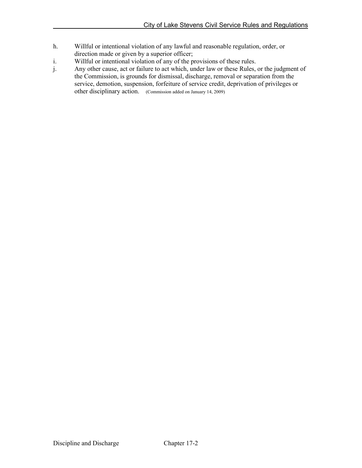- h. Willful or intentional violation of any lawful and reasonable regulation, order, or direction made or given by a superior officer;
- i. Willful or intentional violation of any of the provisions of these rules.
- j. Any other cause, act or failure to act which, under law or these Rules, or the judgment of the Commission, is grounds for dismissal, discharge, removal or separation from the service, demotion, suspension, forfeiture of service credit, deprivation of privileges or other disciplinary action. (Commission added on January 14, 2009)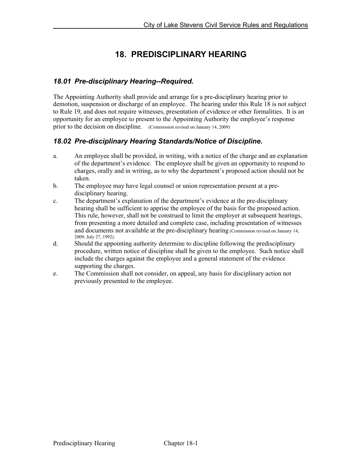# **18. PREDISCIPLINARY HEARING**

# <span id="page-50-1"></span><span id="page-50-0"></span>*18.01 Pre-disciplinary Hearing--Required.*

The Appointing Authority shall provide and arrange for a pre-disciplinary hearing prior to demotion, suspension or discharge of an employee. The hearing under this Rule 18 is not subject to Rule 19, and does not require witnesses, presentation of evidence or other formalities. It is an opportunity for an employee to present to the Appointing Authority the employee's response prior to the decision on discipline. (Commission revised on January 14, 2009)

# <span id="page-50-2"></span>*18.02 Pre-disciplinary Hearing Standards/Notice of Discipline.*

- a. An employee shall be provided, in writing, with a notice of the charge and an explanation of the department's evidence. The employee shall be given an opportunity to respond to charges, orally and in writing, as to why the department's proposed action should not be taken.
- b. The employee may have legal counsel or union representation present at a predisciplinary hearing.
- c. The department's explanation of the department's evidence at the pre-disciplinary hearing shall be sufficient to apprise the employee of the basis for the proposed action. This rule, however, shall not be construed to limit the employer at subsequent hearings, from presenting a more detailed and complete case, including presentation of witnesses and documents not available at the pre-disciplinary hearing (Commission revised on January 14, 2009; July 27, 1992).
- d. Should the appointing authority determine to discipline following the predisciplinary procedure, written notice of discipline shall be given to the employee. Such notice shall include the charges against the employee and a general statement of the evidence supporting the charges.
- e. The Commission shall not consider, on appeal, any basis for disciplinary action not previously presented to the employee.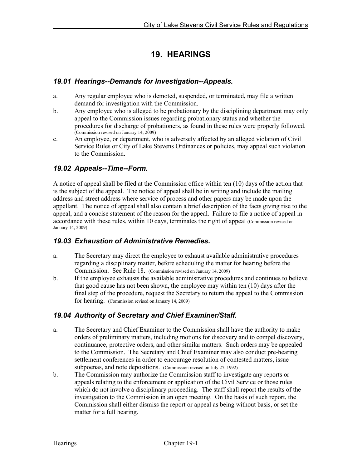# **19. HEARINGS**

#### <span id="page-51-1"></span><span id="page-51-0"></span>*19.01 Hearings--Demands for Investigation--Appeals.*

- a. Any regular employee who is demoted, suspended, or terminated, may file a written demand for investigation with the Commission.
- b. Any employee who is alleged to be probationary by the disciplining department may only appeal to the Commission issues regarding probationary status and whether the procedures for discharge of probationers, as found in these rules were properly followed. (Commission revised on January 14, 2009)
- c. An employee, or department, who is adversely affected by an alleged violation of Civil Service Rules or City of Lake Stevens Ordinances or policies, may appeal such violation to the Commission.

#### <span id="page-51-2"></span>*19.02 Appeals--Time--Form.*

A notice of appeal shall be filed at the Commission office within ten (10) days of the action that is the subject of the appeal. The notice of appeal shall be in writing and include the mailing address and street address where service of process and other papers may be made upon the appellant. The notice of appeal shall also contain a brief description of the facts giving rise to the appeal, and a concise statement of the reason for the appeal. Failure to file a notice of appeal in accordance with these rules, within 10 days, terminates the right of appeal (Commission revised on January 14, 2009)

#### <span id="page-51-3"></span>*19.03 Exhaustion of Administrative Remedies.*

- a. The Secretary may direct the employee to exhaust available administrative procedures regarding a disciplinary matter, before scheduling the matter for hearing before the Commission. See Rule 18. (Commission revised on January 14, 2009)
- b. If the employee exhausts the available administrative procedures and continues to believe that good cause has not been shown, the employee may within ten (10) days after the final step of the procedure, request the Secretary to return the appeal to the Commission for hearing. (Commission revised on January 14, 2009)

#### <span id="page-51-4"></span>*19.04 Authority of Secretary and Chief Examiner/Staff.*

- a. The Secretary and Chief Examiner to the Commission shall have the authority to make orders of preliminary matters, including motions for discovery and to compel discovery, continuance, protective orders, and other similar matters. Such orders may be appealed to the Commission. The Secretary and Chief Examiner may also conduct pre-hearing settlement conferences in order to encourage resolution of contested matters, issue subpoenas, and note depositions. (Commission revised on July 27, 1992)
- b. The Commission may authorize the Commission staff to investigate any reports or appeals relating to the enforcement or application of the Civil Service or those rules which do not involve a disciplinary proceeding. The staff shall report the results of the investigation to the Commission in an open meeting. On the basis of such report, the Commission shall either dismiss the report or appeal as being without basis, or set the matter for a full hearing.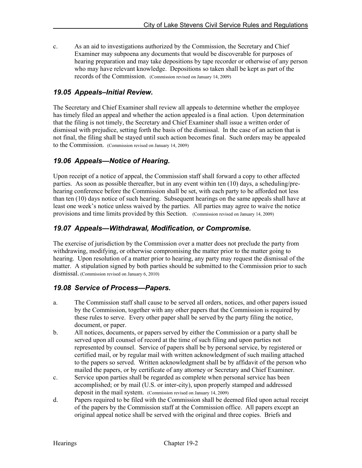c. As an aid to investigations authorized by the Commission, the Secretary and Chief Examiner may subpoena any documents that would be discoverable for purposes of hearing preparation and may take depositions by tape recorder or otherwise of any person who may have relevant knowledge. Depositions so taken shall be kept as part of the records of the Commission. (Commission revised on January 14, 2009)

#### <span id="page-52-0"></span>*19.05 Appeals–Initial Review.*

The Secretary and Chief Examiner shall review all appeals to determine whether the employee has timely filed an appeal and whether the action appealed is a final action. Upon determination that the filing is not timely, the Secretary and Chief Examiner shall issue a written order of dismissal with prejudice, setting forth the basis of the dismissal. In the case of an action that is not final, the filing shall be stayed until such action becomes final. Such orders may be appealed to the Commission. (Commission revised on January 14, 2009)

# <span id="page-52-1"></span>*19.06 Appeals—Notice of Hearing.*

Upon receipt of a notice of appeal, the Commission staff shall forward a copy to other affected parties. As soon as possible thereafter, but in any event within ten  $(10)$  days, a scheduling/prehearing conference before the Commission shall be set, with each party to be afforded not less than ten (10) days notice of such hearing. Subsequent hearings on the same appeals shall have at least one week's notice unless waived by the parties. All parties may agree to waive the notice provisions and time limits provided by this Section. (Commission revised on January 14, 2009)

# <span id="page-52-2"></span>*19.07 Appeals—Withdrawal, Modification, or Compromise.*

The exercise of jurisdiction by the Commission over a matter does not preclude the party from withdrawing, modifying, or otherwise compromising the matter prior to the matter going to hearing. Upon resolution of a matter prior to hearing, any party may request the dismissal of the matter. A stipulation signed by both parties should be submitted to the Commission prior to such dismissal. (Commission revised on January 6, 2010)

# <span id="page-52-3"></span>*19.08 Service of Process—Papers.*

- a. The Commission staff shall cause to be served all orders, notices, and other papers issued by the Commission, together with any other papers that the Commission is required by these rules to serve. Every other paper shall be served by the party filing the notice, document, or paper.
- b. All notices, documents, or papers served by either the Commission or a party shall be served upon all counsel of record at the time of such filing and upon parties not represented by counsel. Service of papers shall be by personal service, by registered or certified mail, or by regular mail with written acknowledgment of such mailing attached to the papers so served. Written acknowledgment shall be by affidavit of the person who mailed the papers, or by certificate of any attorney or Secretary and Chief Examiner.
- c. Service upon parties shall be regarded as complete when personal service has been accomplished; or by mail (U.S. or inter-city), upon properly stamped and addressed deposit in the mail system. (Commission revised on January 14, 2009)
- d. Papers required to be filed with the Commission shall be deemed filed upon actual receipt of the papers by the Commission staff at the Commission office. All papers except an original appeal notice shall be served with the original and three copies. Briefs and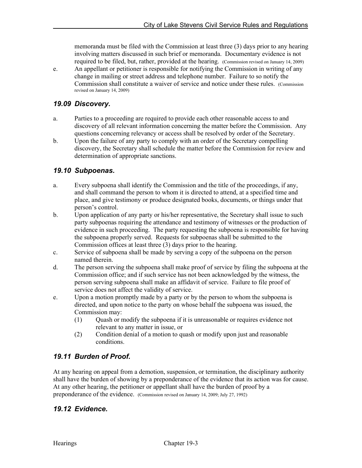memoranda must be filed with the Commission at least three (3) days prior to any hearing involving matters discussed in such brief or memoranda. Documentary evidence is not required to be filed, but, rather, provided at the hearing. (Commission revised on January 14, 2009)

e. An appellant or petitioner is responsible for notifying the Commission in writing of any change in mailing or street address and telephone number. Failure to so notify the Commission shall constitute a waiver of service and notice under these rules. (Commission revised on January 14, 2009)

# <span id="page-53-0"></span>*19.09 Discovery.*

- a. Parties to a proceeding are required to provide each other reasonable access to and discovery of all relevant information concerning the matter before the Commission. Any questions concerning relevancy or access shall be resolved by order of the Secretary.
- b. Upon the failure of any party to comply with an order of the Secretary compelling discovery, the Secretary shall schedule the matter before the Commission for review and determination of appropriate sanctions.

#### <span id="page-53-1"></span>*19.10 Subpoenas.*

- a. Every subpoena shall identify the Commission and the title of the proceedings, if any, and shall command the person to whom it is directed to attend, at a specified time and place, and give testimony or produce designated books, documents, or things under that person's control.
- b. Upon application of any party or his/her representative, the Secretary shall issue to such party subpoenas requiring the attendance and testimony of witnesses or the production of evidence in such proceeding. The party requesting the subpoena is responsible for having the subpoena properly served. Requests for subpoenas shall be submitted to the Commission offices at least three  $(3)$  days prior to the hearing.
- c. Service of subpoena shall be made by serving a copy of the subpoena on the person named therein.
- d. The person serving the subpoena shall make proof of service by filing the subpoena at the Commission office; and if such service has not been acknowledged by the witness, the person serving subpoena shall make an affidavit of service. Failure to file proof of service does not affect the validity of service.
- e. Upon a motion promptly made by a party or by the person to whom the subpoena is directed, and upon notice to the party on whose behalf the subpoena was issued, the Commission may:
	- (1) Quash or modify the subpoena if it is unreasonable or requires evidence not relevant to any matter in issue, or
	- (2) Condition denial of a motion to quash or modify upon just and reasonable conditions.

# <span id="page-53-2"></span>*19.11 Burden of Proof.*

At any hearing on appeal from a demotion, suspension, or termination, the disciplinary authority shall have the burden of showing by a preponderance of the evidence that its action was for cause. At any other hearing, the petitioner or appellant shall have the burden of proof by a preponderance of the evidence. (Commission revised on January 14, 2009; July 27, 1992)

#### <span id="page-53-3"></span>*19.12 Evidence.*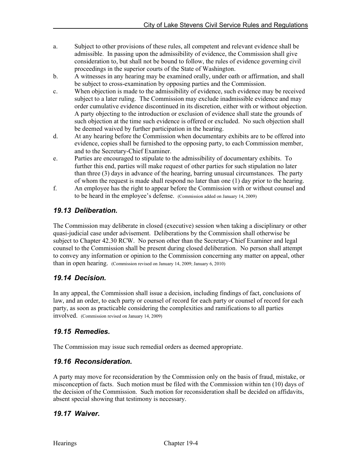- a. Subject to other provisions of these rules, all competent and relevant evidence shall be admissible. In passing upon the admissibility of evidence, the Commission shall give consideration to, but shall not be bound to follow, the rules of evidence governing civil proceedings in the superior courts of the State of Washington.
- b. A witnesses in any hearing may be examined orally, under oath or affirmation, and shall be subject to cross-examination by opposing parties and the Commission.
- c. When objection is made to the admissibility of evidence, such evidence may be received subject to a later ruling. The Commission may exclude inadmissible evidence and may order cumulative evidence discontinued in its discretion, either with or without objection. A party objecting to the introduction or exclusion of evidence shall state the grounds of such objection at the time such evidence is offered or excluded. No such objection shall be deemed waived by further participation in the hearing.
- d. At any hearing before the Commission when documentary exhibits are to be offered into evidence, copies shall be furnished to the opposing party, to each Commission member, and to the Secretary-Chief Examiner.
- e. Parties are encouraged to stipulate to the admissibility of documentary exhibits. To further this end, parties will make request of other parties for such stipulation no later than three (3) days in advance of the hearing, barring unusual circumstances. The party of whom the request is made shall respond no later than one (1) day prior to the hearing.
- f. An employee has the right to appear before the Commission with or without counsel and to be heard in the employee's defense. (Commission added on January 14, 2009)

# <span id="page-54-0"></span>*19.13 Deliberation.*

The Commission may deliberate in closed (executive) session when taking a disciplinary or other quasi-judicial case under advisement. Deliberations by the Commission shall otherwise be subject to Chapter 42.30 RCW. No person other than the Secretary-Chief Examiner and legal counsel to the Commission shall be present during closed deliberation. No person shall attempt to convey any information or opinion to the Commission concerning any matter on appeal, other than in open hearing. (Commission revised on January 14, 2009; January 6, 2010)

# <span id="page-54-1"></span>*19.14 Decision.*

In any appeal, the Commission shall issue a decision, including findings of fact, conclusions of law, and an order, to each party or counsel of record for each party or counsel of record for each party, as soon as practicable considering the complexities and ramifications to all parties involved. (Commission revised on January 14, 2009)

# <span id="page-54-2"></span>*19.15 Remedies.*

The Commission may issue such remedial orders as deemed appropriate.

# <span id="page-54-3"></span>*19.16 Reconsideration.*

A party may move for reconsideration by the Commission only on the basis of fraud, mistake, or misconception of facts. Such motion must be filed with the Commission within ten (10) days of the decision of the Commission. Such motion for reconsideration shall be decided on affidavits, absent special showing that testimony is necessary.

# <span id="page-54-4"></span>*19.17 Waiver.*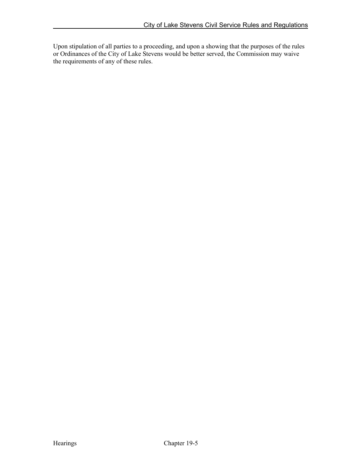Upon stipulation of all parties to a proceeding, and upon a showing that the purposes of the rules or Ordinances of the City of Lake Stevens would be better served, the Commission may waive the requirements of any of these rules.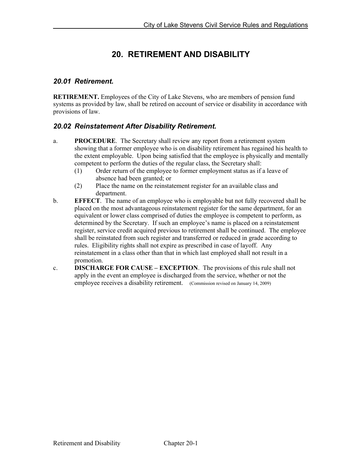# **20. RETIREMENT AND DISABILITY**

# <span id="page-56-1"></span><span id="page-56-0"></span>*20.01 Retirement.*

**RETIREMENT.** Employees of the City of Lake Stevens, who are members of pension fund systems as provided by law, shall be retired on account of service or disability in accordance with provisions of law.

# <span id="page-56-2"></span>*20.02 Reinstatement After Disability Retirement.*

- a. **PROCEDURE**. The Secretary shall review any report from a retirement system showing that a former employee who is on disability retirement has regained his health to the extent employable. Upon being satisfied that the employee is physically and mentally competent to perform the duties of the regular class, the Secretary shall:
	- (1) Order return of the employee to former employment status as if a leave of absence had been granted; or
	- (2) Place the name on the reinstatement register for an available class and department.
- b. **EFFECT**. The name of an employee who is employable but not fully recovered shall be placed on the most advantageous reinstatement register for the same department, for an equivalent or lower class comprised of duties the employee is competent to perform, as determined by the Secretary. If such an employee's name is placed on a reinstatement register, service credit acquired previous to retirement shall be continued. The employee shall be reinstated from such register and transferred or reduced in grade according to rules. Eligibility rights shall not expire as prescribed in case of layoff. Any reinstatement in a class other than that in which last employed shall not result in a promotion.
- c. **DISCHARGE FOR CAUSE – EXCEPTION**. The provisions of this rule shall not apply in the event an employee is discharged from the service, whether or not the employee receives a disability retirement. (Commission revised on January 14, 2009)